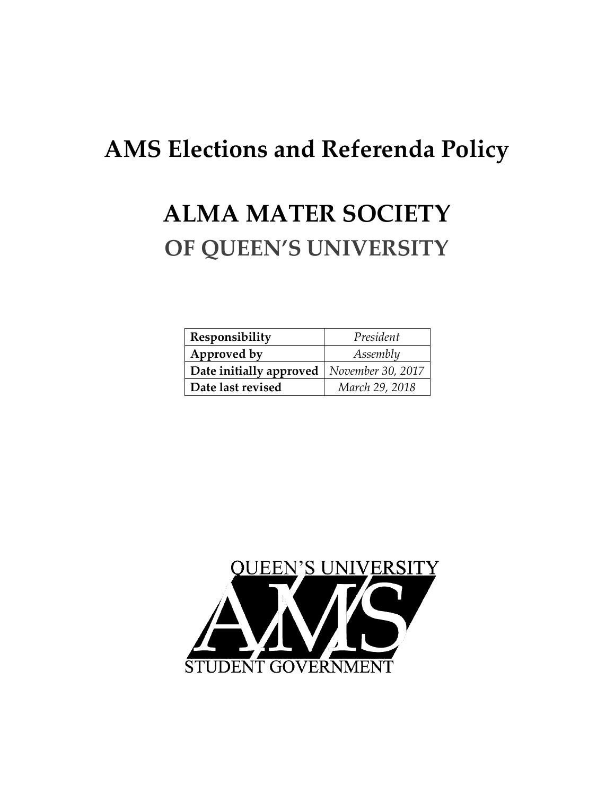# **AMS Elections and Referenda Policy**

## **ALMA MATER SOCIETY OF QUEEN'S UNIVERSITY**

| Responsibility          | President         |
|-------------------------|-------------------|
| Approved by             | Assembly          |
| Date initially approved | November 30, 2017 |
| Date last revised       | March 29, 2018    |

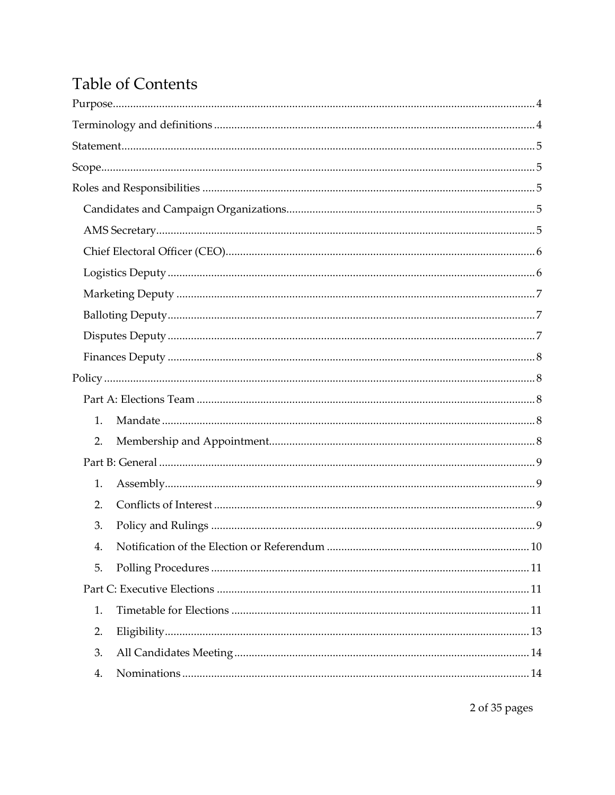## **Table of Contents**

| 1.          |  |
|-------------|--|
| 2.          |  |
|             |  |
| 1.          |  |
| 2.          |  |
| 3.          |  |
| $4_{\cdot}$ |  |
| 5.          |  |
|             |  |
| 1.          |  |
| 2.          |  |
| 3.          |  |
| 4.          |  |

 $2$  of  $35$  pages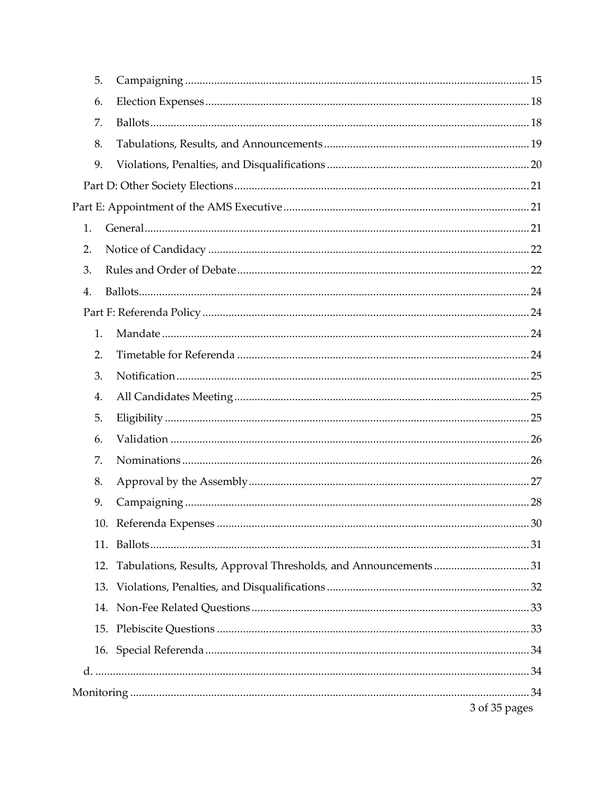| 5.  |                                                                |               |
|-----|----------------------------------------------------------------|---------------|
| 6.  |                                                                |               |
| 7.  |                                                                |               |
| 8.  |                                                                |               |
| 9.  |                                                                |               |
|     |                                                                |               |
|     |                                                                |               |
| 1.  |                                                                |               |
| 2.  |                                                                |               |
| 3.  |                                                                |               |
| 4.  |                                                                |               |
|     |                                                                |               |
| 1.  |                                                                |               |
| 2.  |                                                                |               |
| 3.  |                                                                |               |
| 4.  |                                                                |               |
| 5.  |                                                                |               |
| 6.  |                                                                |               |
| 7.  |                                                                |               |
| 8.  |                                                                |               |
| 9.  |                                                                |               |
|     |                                                                |               |
| 11. |                                                                |               |
| 12. | Tabulations, Results, Approval Thresholds, and Announcements31 |               |
| 13. |                                                                |               |
|     |                                                                |               |
|     |                                                                |               |
|     |                                                                |               |
|     |                                                                |               |
|     |                                                                |               |
|     |                                                                | 3 of 35 pages |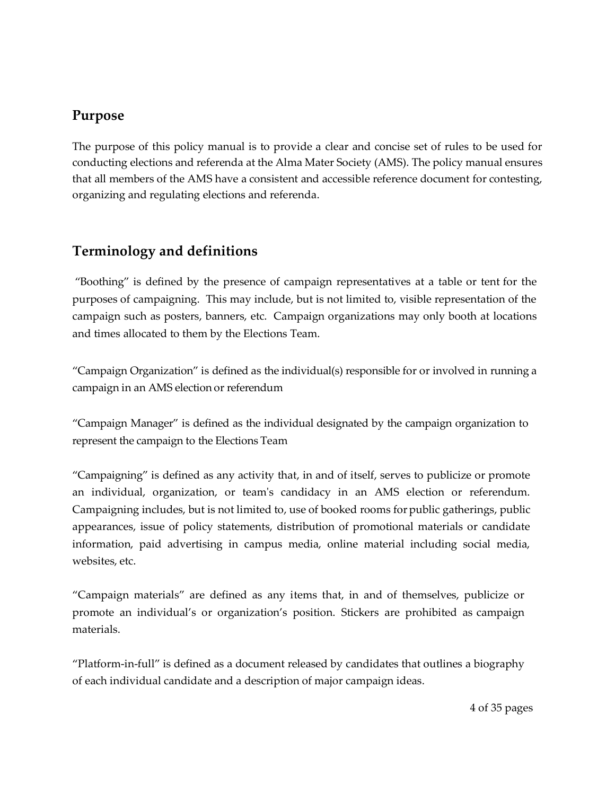### <span id="page-3-0"></span>**Purpose**

The purpose of this policy manual is to provide a clear and concise set of rules to be used for conducting elections and referenda at the Alma Mater Society (AMS). The policy manual ensures that all members of the AMS have a consistent and accessible reference document for contesting, organizing and regulating elections and referenda.

## <span id="page-3-1"></span>**Terminology and definitions**

"Boothing" is defined by the presence of campaign representatives at a table or tent for the purposes of campaigning. This may include, but is not limited to, visible representation of the campaign such as posters, banners, etc. Campaign organizations may only booth at locations and times allocated to them by the Elections Team.

"Campaign Organization" is defined as the individual(s) responsible for or involved in running a campaign in an AMS election or referendum

"Campaign Manager" is defined as the individual designated by the campaign organization to represent the campaign to the Elections Team

"Campaigning" is defined as any activity that, in and of itself, serves to publicize or promote an individual, organization, or team's candidacy in an AMS election or referendum. Campaigning includes, but is not limited to, use of booked rooms forpublic gatherings, public appearances, issue of policy statements, distribution of promotional materials or candidate information, paid advertising in campus media, online material including social media, websites, etc.

"Campaign materials" are defined as any items that, in and of themselves, publicize or promote an individual's or organization's position. Stickers are prohibited as campaign materials.

"Platform-in-full" is defined as a document released by candidates that outlines a biography of each individual candidate and a description of major campaign ideas.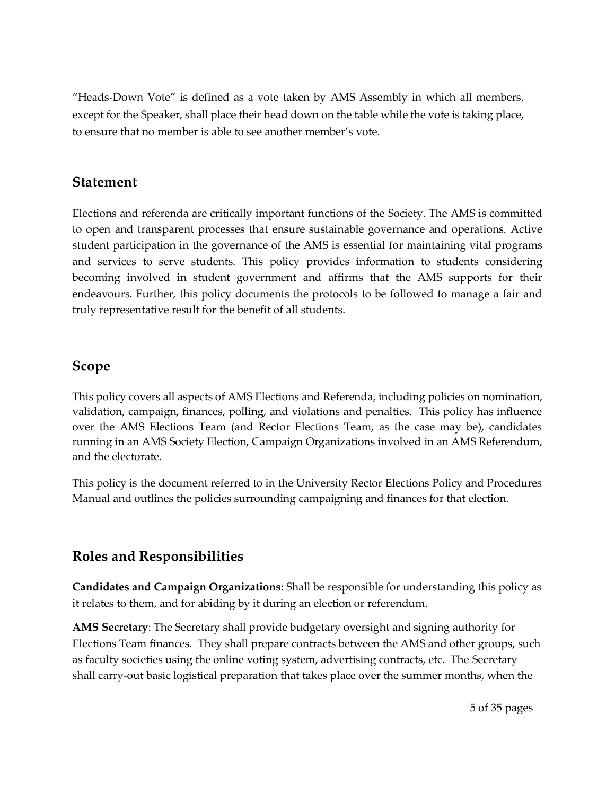"Heads-Down Vote" is defined as a vote taken by AMS Assembly in which all members, except for the Speaker, shall place their head down on the table while the vote is taking place, to ensure that no member is able to see another member's vote.

#### <span id="page-4-0"></span>**Statement**

Elections and referenda are critically important functions of the Society. The AMS is committed to open and transparent processes that ensure sustainable governance and operations. Active student participation in the governance of the AMS is essential for maintaining vital programs and services to serve students. This policy provides information to students considering becoming involved in student government and affirms that the AMS supports for their endeavours. Further, this policy documents the protocols to be followed to manage a fair and truly representative result for the benefit of all students.

#### <span id="page-4-1"></span>**Scope**

This policy covers all aspects of AMS Elections and Referenda, including policies on nomination, validation, campaign, finances, polling, and violations and penalties. This policy has influence over the AMS Elections Team (and Rector Elections Team, as the case may be), candidates running in an AMS Society Election, Campaign Organizations involved in an AMS Referendum, and the electorate.

This policy is the document referred to in the University Rector Elections Policy and Procedures Manual and outlines the policies surrounding campaigning and finances for that election.

## <span id="page-4-2"></span>**Roles and Responsibilities**

<span id="page-4-3"></span>**Candidates and Campaign Organizations**: Shall be responsible for understanding this policy as it relates to them, and for abiding by it during an election or referendum.

<span id="page-4-4"></span>**AMS Secretary**: The Secretary shall provide budgetary oversight and signing authority for Elections Team finances. They shall prepare contracts between the AMS and other groups, such as faculty societies using the online voting system, advertising contracts, etc. The Secretary shall carry-out basic logistical preparation that takes place over the summer months, when the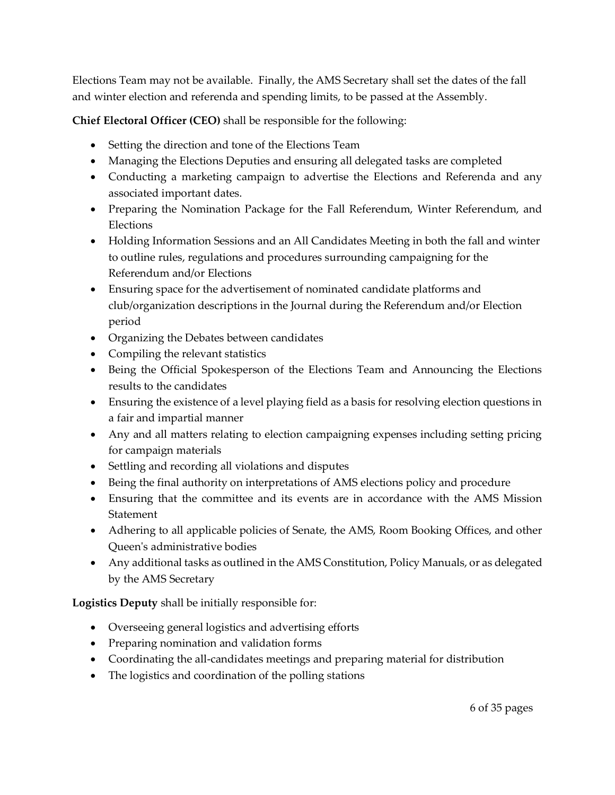Elections Team may not be available. Finally, the AMS Secretary shall set the dates of the fall and winter election and referenda and spending limits, to be passed at the Assembly.

<span id="page-5-0"></span>**Chief Electoral Officer (CEO)** shall be responsible for the following:

- Setting the direction and tone of the Elections Team
- Managing the Elections Deputies and ensuring all delegated tasks are completed
- Conducting a marketing campaign to advertise the Elections and Referenda and any associated important dates.
- Preparing the Nomination Package for the Fall Referendum, Winter Referendum, and Elections
- Holding Information Sessions and an All Candidates Meeting in both the fall and winter to outline rules, regulations and procedures surrounding campaigning for the Referendum and/or Elections
- Ensuring space for the advertisement of nominated candidate platforms and club/organization descriptions in the Journal during the Referendum and/or Election period
- Organizing the Debates between candidates
- Compiling the relevant statistics
- Being the Official Spokesperson of the Elections Team and Announcing the Elections results to the candidates
- Ensuring the existence of a level playing field as a basis for resolving election questions in a fair and impartial manner
- Any and all matters relating to election campaigning expenses including setting pricing for campaign materials
- Settling and recording all violations and disputes
- Being the final authority on interpretations of AMS elections policy and procedure
- Ensuring that the committee and its events are in accordance with the AMS Mission **Statement**
- Adhering to all applicable policies of Senate, the AMS, Room Booking Offices, and other Queen's administrative bodies
- Any additional tasks as outlined in the AMS Constitution, Policy Manuals, or as delegated by the AMS Secretary

<span id="page-5-1"></span>**Logistics Deputy** shall be initially responsible for:

- Overseeing general logistics and advertising efforts
- Preparing nomination and validation forms
- Coordinating the all-candidates meetings and preparing material for distribution
- The logistics and coordination of the polling stations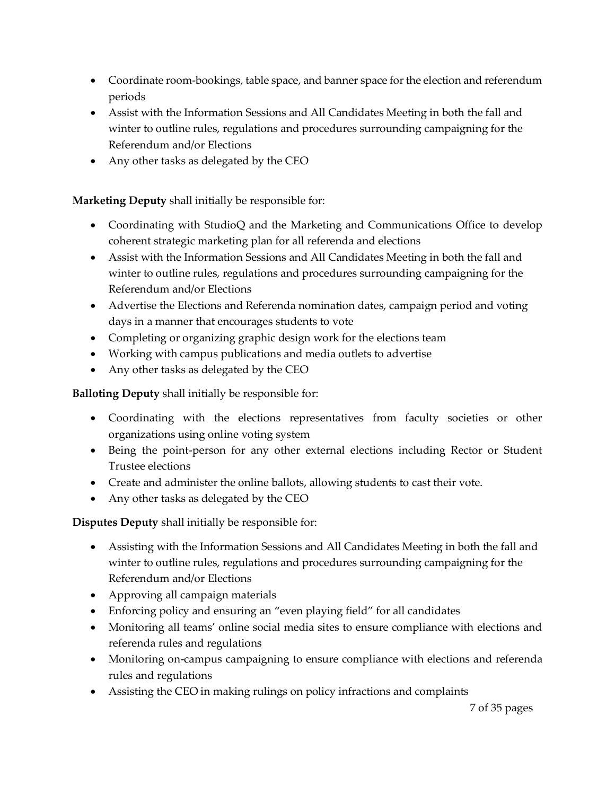- Coordinate room-bookings, table space, and banner space for the election and referendum periods
- Assist with the Information Sessions and All Candidates Meeting in both the fall and winter to outline rules, regulations and procedures surrounding campaigning for the Referendum and/or Elections
- Any other tasks as delegated by the CEO

#### <span id="page-6-0"></span>**Marketing Deputy** shall initially be responsible for:

- Coordinating with StudioQ and the Marketing and Communications Office to develop coherent strategic marketing plan for all referenda and elections
- Assist with the Information Sessions and All Candidates Meeting in both the fall and winter to outline rules, regulations and procedures surrounding campaigning for the Referendum and/or Elections
- Advertise the Elections and Referenda nomination dates, campaign period and voting days in a manner that encourages students to vote
- Completing or organizing graphic design work for the elections team
- Working with campus publications and media outlets to advertise
- Any other tasks as delegated by the CEO

<span id="page-6-1"></span>**Balloting Deputy** shall initially be responsible for:

- Coordinating with the elections representatives from faculty societies or other organizations using online voting system
- Being the point-person for any other external elections including Rector or Student Trustee elections
- Create and administer the online ballots, allowing students to cast their vote.
- Any other tasks as delegated by the CEO

<span id="page-6-2"></span>**Disputes Deputy** shall initially be responsible for:

- Assisting with the Information Sessions and All Candidates Meeting in both the fall and winter to outline rules, regulations and procedures surrounding campaigning for the Referendum and/or Elections
- Approving all campaign materials
- Enforcing policy and ensuring an "even playing field" for all candidates
- Monitoring all teams' online social media sites to ensure compliance with elections and referenda rules and regulations
- Monitoring on-campus campaigning to ensure compliance with elections and referenda rules and regulations
- Assisting the CEO in making rulings on policy infractions and complaints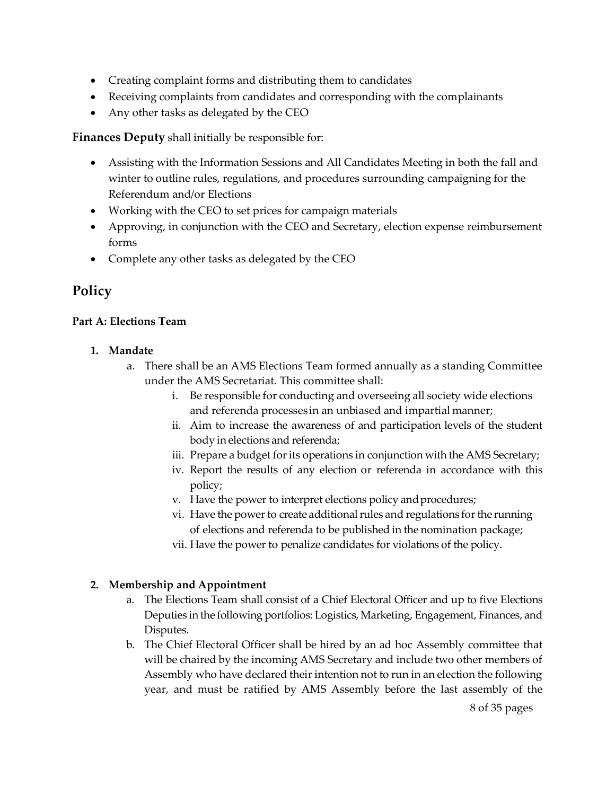- Creating complaint forms and distributing them to candidates
- Receiving complaints from candidates and corresponding with the complainants
- Any other tasks as delegated by the CEO

<span id="page-7-0"></span>**Finances Deputy** shall initially be responsible for:

- Assisting with the Information Sessions and All Candidates Meeting in both the fall and winter to outline rules, regulations, and procedures surrounding campaigning for the Referendum and/or Elections
- Working with the CEO to set prices for campaign materials
- Approving, in conjunction with the CEO and Secretary, election expense reimbursement forms
- Complete any other tasks as delegated by the CEO

## <span id="page-7-1"></span>**Policy**

#### <span id="page-7-2"></span>**Part A: Elections Team**

#### <span id="page-7-3"></span>**1. Mandate**

- a. There shall be an AMS Elections Team formed annually as a standing Committee under the AMS Secretariat. This committee shall:
	- i. Be responsible for conducting and overseeing all society wide elections and referenda processes in an unbiased and impartial manner;
	- ii. Aim to increase the awareness of and participation levels of the student body in elections and referenda;
	- iii. Prepare a budget for its operations in conjunction with the AMS Secretary;
	- iv. Report the results of any election or referenda in accordance with this policy;
	- v. Have the power to interpret elections policy andprocedures;
	- vi. Have the power to create additional rules and regulations for the running of elections and referenda to be published in the nomination package;
	- vii. Have the power to penalize candidates for violations of the policy.

#### <span id="page-7-4"></span>**2. Membership and Appointment**

- a. The Elections Team shall consist of a Chief Electoral Officer and up to five Elections Deputies in the following portfolios: Logistics, Marketing, Engagement, Finances, and Disputes.
- b. The Chief Electoral Officer shall be hired by an ad hoc Assembly committee that will be chaired by the incoming AMS Secretary and include two other members of Assembly who have declared their intention not to run in an election the following year, and must be ratified by AMS Assembly before the last assembly of the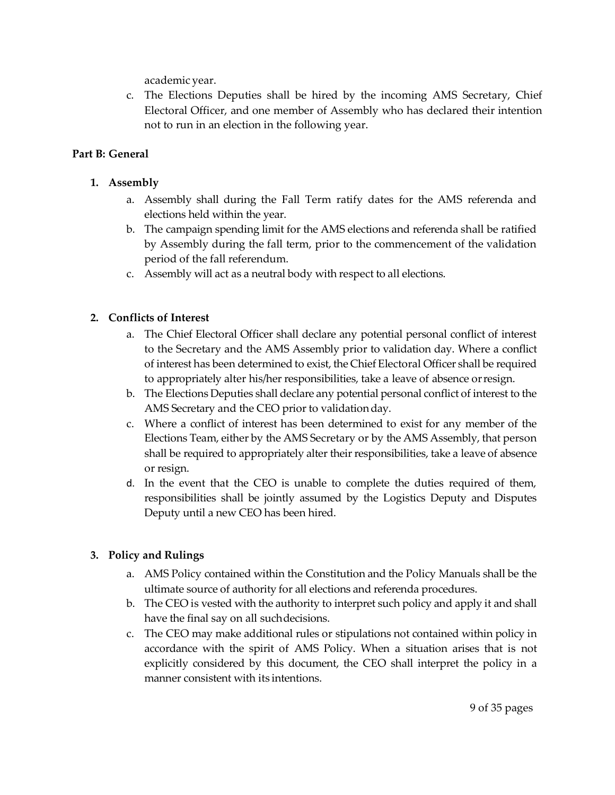academic year.

c. The Elections Deputies shall be hired by the incoming AMS Secretary, Chief Electoral Officer, and one member of Assembly who has declared their intention not to run in an election in the following year.

#### <span id="page-8-0"></span>**Part B: General**

#### <span id="page-8-1"></span>**1. Assembly**

- a. Assembly shall during the Fall Term ratify dates for the AMS referenda and elections held within the year.
- b. The campaign spending limit for the AMS elections and referenda shall be ratified by Assembly during the fall term, prior to the commencement of the validation period of the fall referendum.
- c. Assembly will act as a neutral body with respect to all elections.

#### <span id="page-8-2"></span>**2. Conflicts of Interest**

- a. The Chief Electoral Officer shall declare any potential personal conflict of interest to the Secretary and the AMS Assembly prior to validation day. Where a conflict of interest has been determined to exist, the Chief Electoral Officer shall be required to appropriately alter his/her responsibilities, take a leave of absence orresign.
- b. The Elections Deputies shall declare any potential personal conflict of interest to the AMS Secretary and the CEO prior to validation day.
- c. Where a conflict of interest has been determined to exist for any member of the Elections Team, either by the AMS Secretary or by the AMS Assembly, that person shall be required to appropriately alter their responsibilities, take a leave of absence or resign.
- d. In the event that the CEO is unable to complete the duties required of them, responsibilities shall be jointly assumed by the Logistics Deputy and Disputes Deputy until a new CEO has been hired.

#### <span id="page-8-3"></span>**3. Policy and Rulings**

- a. AMS Policy contained within the Constitution and the Policy Manuals shall be the ultimate source of authority for all elections and referenda procedures.
- b. The CEO is vested with the authority to interpret such policy and apply it and shall have the final say on all suchdecisions.
- c. The CEO may make additional rules or stipulations not contained within policy in accordance with the spirit of AMS Policy. When a situation arises that is not explicitly considered by this document, the CEO shall interpret the policy in a manner consistent with its intentions.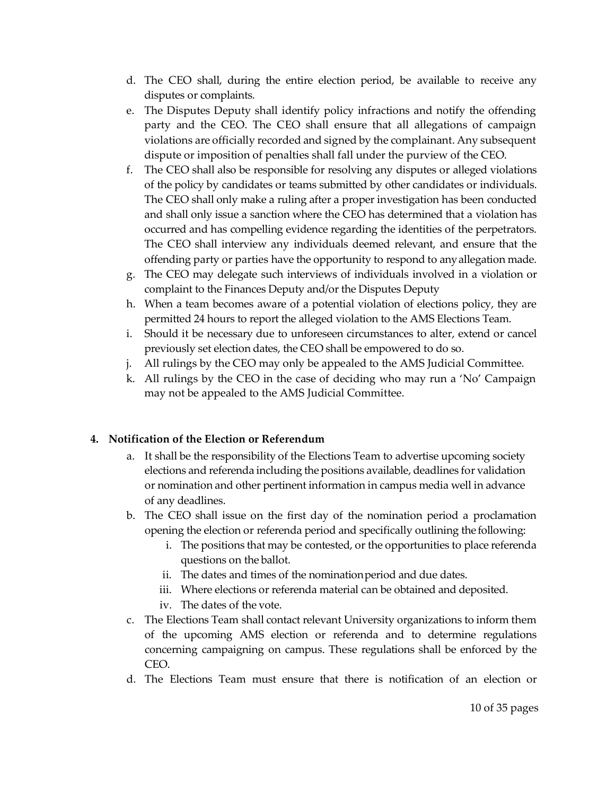- d. The CEO shall, during the entire election period, be available to receive any disputes or complaints.
- e. The Disputes Deputy shall identify policy infractions and notify the offending party and the CEO. The CEO shall ensure that all allegations of campaign violations are officially recorded and signed by the complainant. Any subsequent dispute or imposition of penalties shall fall under the purview of the CEO.
- f. The CEO shall also be responsible for resolving any disputes or alleged violations of the policy by candidates or teams submitted by other candidates or individuals. The CEO shall only make a ruling after a proper investigation has been conducted and shall only issue a sanction where the CEO has determined that a violation has occurred and has compelling evidence regarding the identities of the perpetrators. The CEO shall interview any individuals deemed relevant, and ensure that the offending party or parties have the opportunity to respond to anyallegation made.
- g. The CEO may delegate such interviews of individuals involved in a violation or complaint to the Finances Deputy and/or the Disputes Deputy
- h. When a team becomes aware of a potential violation of elections policy, they are permitted 24 hours to report the alleged violation to the AMS Elections Team.
- i. Should it be necessary due to unforeseen circumstances to alter, extend or cancel previously set election dates, the CEO shall be empowered to do so.
- j. All rulings by the CEO may only be appealed to the AMS Judicial Committee.
- k. All rulings by the CEO in the case of deciding who may run a 'No' Campaign may not be appealed to the AMS Judicial Committee.

#### <span id="page-9-0"></span>**4. Notification of the Election or Referendum**

- a. It shall be the responsibility of the Elections Team to advertise upcoming society elections and referenda including the positions available, deadlines for validation or nomination and other pertinent information in campus media well in advance of any deadlines.
- b. The CEO shall issue on the first day of the nomination period a proclamation opening the election or referenda period and specifically outlining the following:
	- i. The positions that may be contested, or the opportunities to place referenda questions on the ballot.
	- ii. The dates and times of the nominationperiod and due dates.
	- iii. Where elections or referenda material can be obtained and deposited.
	- iv. The dates of the vote.
- c. The Elections Team shall contact relevant University organizations to inform them of the upcoming AMS election or referenda and to determine regulations concerning campaigning on campus. These regulations shall be enforced by the CEO.
- d. The Elections Team must ensure that there is notification of an election or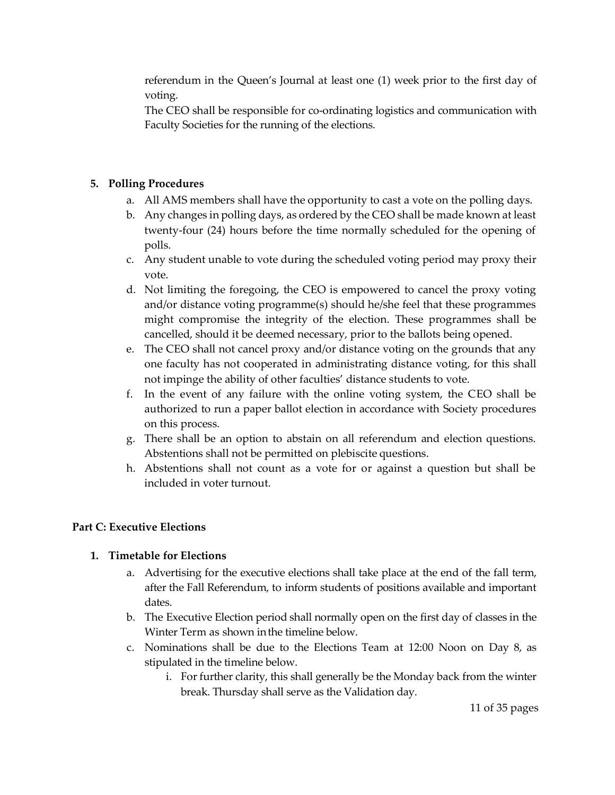referendum in the Queen's Journal at least one (1) week prior to the first day of voting.

The CEO shall be responsible for co-ordinating logistics and communication with Faculty Societies for the running of the elections.

#### <span id="page-10-0"></span>**5. Polling Procedures**

- a. All AMS members shall have the opportunity to cast a vote on the polling days.
- b. Any changes in polling days, as ordered by the CEO shall be made known at least twenty-four (24) hours before the time normally scheduled for the opening of polls.
- c. Any student unable to vote during the scheduled voting period may proxy their vote.
- d. Not limiting the foregoing, the CEO is empowered to cancel the proxy voting and/or distance voting programme(s) should he/she feel that these programmes might compromise the integrity of the election. These programmes shall be cancelled, should it be deemed necessary, prior to the ballots being opened.
- e. The CEO shall not cancel proxy and/or distance voting on the grounds that any one faculty has not cooperated in administrating distance voting, for this shall not impinge the ability of other faculties' distance students to vote.
- f. In the event of any failure with the online voting system, the CEO shall be authorized to run a paper ballot election in accordance with Society procedures on this process.
- g. There shall be an option to abstain on all referendum and election questions. Abstentions shall not be permitted on plebiscite questions.
- h. Abstentions shall not count as a vote for or against a question but shall be included in voter turnout.

#### <span id="page-10-1"></span>**Part C: Executive Elections**

#### <span id="page-10-2"></span>**1. Timetable for Elections**

- a. Advertising for the executive elections shall take place at the end of the fall term, after the Fall Referendum, to inform students of positions available and important dates.
- b. The Executive Election period shall normally open on the first day of classes in the Winter Term as shown inthe timeline below.
- c. Nominations shall be due to the Elections Team at 12:00 Noon on Day 8, as stipulated in the timeline below.
	- i. For further clarity, this shall generally be the Monday back from the winter break. Thursday shall serve as the Validation day.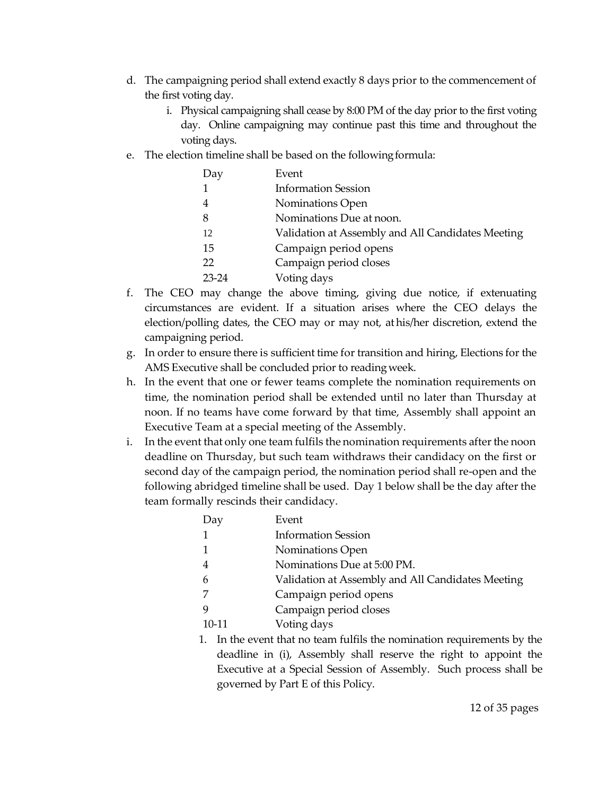- d. The campaigning period shall extend exactly 8 days prior to the commencement of the first voting day.
	- i. Physical campaigning shall cease by 8:00 PM of the day prior to the first voting day. Online campaigning may continue past this time and throughout the voting days.
- e. The election timeline shall be based on the followingformula:

| Day            | Event                                             |
|----------------|---------------------------------------------------|
|                | <b>Information Session</b>                        |
| $\overline{4}$ | Nominations Open                                  |
| 8              | Nominations Due at noon.                          |
| -12            | Validation at Assembly and All Candidates Meeting |
| 15             | Campaign period opens                             |
| 22             | Campaign period closes                            |
| 23-24          | Voting days                                       |

- f. The CEO may change the above timing, giving due notice, if extenuating circumstances are evident. If a situation arises where the CEO delays the election/polling dates, the CEO may or may not, at his/her discretion, extend the campaigning period.
- g. In order to ensure there is sufficient time for transition and hiring, Elections for the AMS Executive shall be concluded prior to readingweek.
- h. In the event that one or fewer teams complete the nomination requirements on time, the nomination period shall be extended until no later than Thursday at noon. If no teams have come forward by that time, Assembly shall appoint an Executive Team at a special meeting of the Assembly.
- i. In the event that only one team fulfils the nomination requirements after the noon deadline on Thursday, but such team withdraws their candidacy on the first or second day of the campaign period, the nomination period shall re-open and the following abridged timeline shall be used. Day 1 below shall be the day after the team formally rescinds their candidacy.

| Day |       | Event                                                                   |
|-----|-------|-------------------------------------------------------------------------|
|     |       | <b>Information Session</b>                                              |
|     |       | Nominations Open                                                        |
| 4   |       | Nominations Due at 5:00 PM.                                             |
| 6   |       | Validation at Assembly and All Candidates Meeting                       |
|     |       | Campaign period opens                                                   |
|     |       | Campaign period closes                                                  |
|     | 10-11 | Voting days                                                             |
|     |       | 1. In the event that no team fulfils the nomination requirements by the |
|     |       | deadline in (i) Assembly shall reserve the right to annoint the         |

deadline in (i), Assembly shall reserve the right to appoint the Executive at a Special Session of Assembly. Such process shall be governed by Part E of this Policy.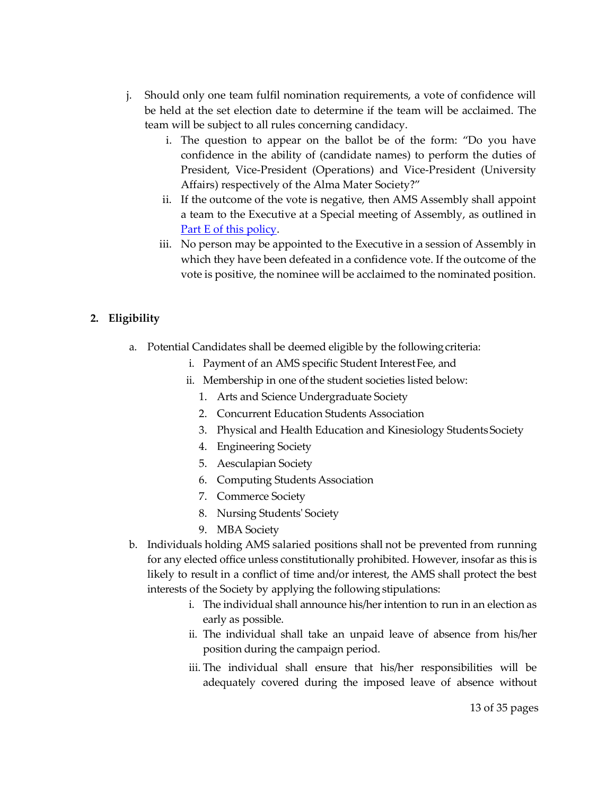- j. Should only one team fulfil nomination requirements, a vote of confidence will be held at the set election date to determine if the team will be acclaimed. The team will be subject to all rules concerning candidacy.
	- i. The question to appear on the ballot be of the form: "Do you have confidence in the ability of (candidate names) to perform the duties of President, Vice-President (Operations) and Vice-President (University Affairs) respectively of the Alma Mater Society?"
	- ii. If the outcome of the vote is negative, then AMS Assembly shall appoint a team to the Executive at a Special meeting of Assembly, as outlined in Part E [of this policy.](#page-20-1)
	- iii. No person may be appointed to the Executive in a session of Assembly in which they have been defeated in a confidence vote. If the outcome of the vote is positive, the nominee will be acclaimed to the nominated position.

#### <span id="page-12-0"></span>**2. Eligibility**

- a. Potential Candidates shall be deemed eligible by the followingcriteria:
	- i. Payment of an AMS specific Student Interest Fee, and
	- ii. Membership in one of the student societies listed below:
		- 1. Arts and Science Undergraduate Society
		- 2. Concurrent Education Students Association
		- 3. Physical and Health Education and Kinesiology Students Society
		- 4. Engineering Society
		- 5. Aesculapian Society
		- 6. Computing Students Association
		- 7. Commerce Society
		- 8. Nursing Students' Society
		- 9. MBA Society
- b. Individuals holding AMS salaried positions shall not be prevented from running for any elected office unless constitutionally prohibited. However, insofar as this is likely to result in a conflict of time and/or interest, the AMS shall protect the best interests of the Society by applying the following stipulations:
	- i. The individual shall announce his/her intention to run in an election as early as possible.
	- ii. The individual shall take an unpaid leave of absence from his/her position during the campaign period.
	- iii. The individual shall ensure that his/her responsibilities will be adequately covered during the imposed leave of absence without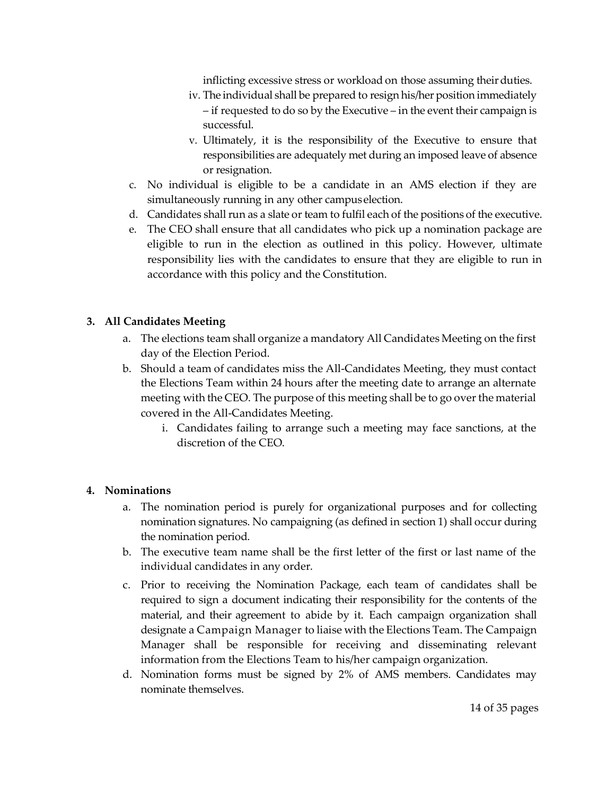inflicting excessive stress or workload on those assuming their duties.

- iv. The individual shall be prepared to resign his/her position immediately – if requested to do so by the Executive – in the event their campaign is successful.
- v. Ultimately, it is the responsibility of the Executive to ensure that responsibilities are adequately met during an imposed leave of absence or resignation.
- c. No individual is eligible to be a candidate in an AMS election if they are simultaneously running in any other campus election.
- d. Candidates shall run as a slate or team to fulfil each of the positions of the executive.
- e. The CEO shall ensure that all candidates who pick up a nomination package are eligible to run in the election as outlined in this policy. However, ultimate responsibility lies with the candidates to ensure that they are eligible to run in accordance with this policy and the Constitution.

#### <span id="page-13-0"></span>**3. All Candidates Meeting**

- a. The elections team shall organize a mandatory All Candidates Meeting on the first day of the Election Period.
- b. Should a team of candidates miss the All-Candidates Meeting, they must contact the Elections Team within 24 hours after the meeting date to arrange an alternate meeting with the CEO. The purpose of this meeting shall be to go over the material covered in the All-Candidates Meeting.
	- i. Candidates failing to arrange such a meeting may face sanctions, at the discretion of the CEO.

#### <span id="page-13-1"></span>**4. Nominations**

- a. The nomination period is purely for organizational purposes and for collecting nomination signatures. No campaigning (as defined in section 1) shall occur during the nomination period.
- b. The executive team name shall be the first letter of the first or last name of the individual candidates in any order.
- c. Prior to receiving the Nomination Package, each team of candidates shall be required to sign a document indicating their responsibility for the contents of the material, and their agreement to abide by it. Each campaign organization shall designate a Campaign Manager to liaise with the Elections Team. The Campaign Manager shall be responsible for receiving and disseminating relevant information from the Elections Team to his/her campaign organization.
- d. Nomination forms must be signed by 2% of AMS members. Candidates may nominate themselves.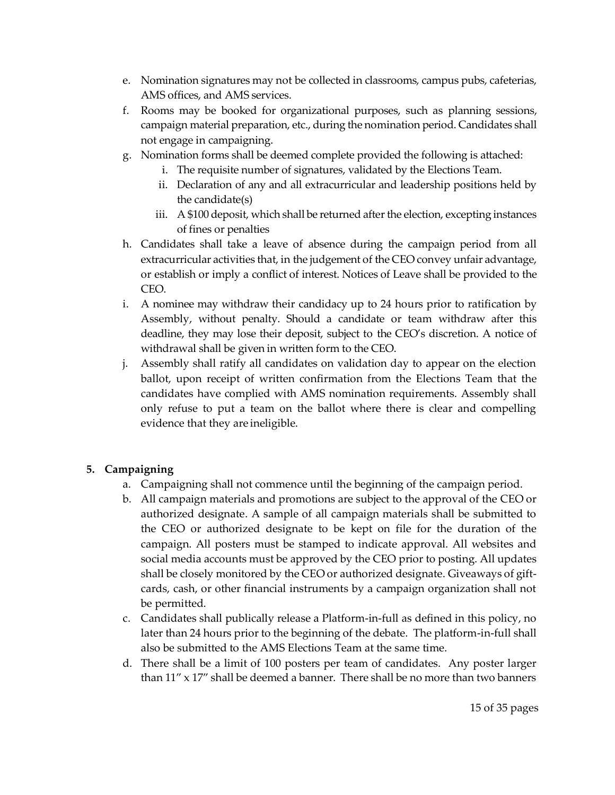- e. Nomination signatures may not be collected in classrooms, campus pubs, cafeterias, AMS offices, and AMS services.
- f. Rooms may be booked for organizational purposes, such as planning sessions, campaign material preparation, etc., during the nomination period. Candidates shall not engage in campaigning.
- g. Nomination forms shall be deemed complete provided the following is attached:
	- i. The requisite number of signatures, validated by the Elections Team.
	- ii. Declaration of any and all extracurricular and leadership positions held by the candidate(s)
	- iii. A \$100 deposit, which shall be returned after the election, excepting instances of fines or penalties
- h. Candidates shall take a leave of absence during the campaign period from all extracurricular activities that, in the judgement of the CEO convey unfair advantage, or establish or imply a conflict of interest. Notices of Leave shall be provided to the CEO.
- i. A nominee may withdraw their candidacy up to 24 hours prior to ratification by Assembly, without penalty. Should a candidate or team withdraw after this deadline, they may lose their deposit, subject to the CEO's discretion. A notice of withdrawal shall be given in written form to the CEO.
- j. Assembly shall ratify all candidates on validation day to appear on the election ballot, upon receipt of written confirmation from the Elections Team that the candidates have complied with AMS nomination requirements. Assembly shall only refuse to put a team on the ballot where there is clear and compelling evidence that they are ineligible.

#### <span id="page-14-0"></span>**5. Campaigning**

- a. Campaigning shall not commence until the beginning of the campaign period.
- b. All campaign materials and promotions are subject to the approval of the CEO or authorized designate. A sample of all campaign materials shall be submitted to the CEO or authorized designate to be kept on file for the duration of the campaign. All posters must be stamped to indicate approval. All websites and social media accounts must be approved by the CEO prior to posting. All updates shall be closely monitored by the CEO or authorized designate. Giveaways of giftcards, cash, or other financial instruments by a campaign organization shall not be permitted.
- c. Candidates shall publically release a Platform-in-full as defined in this policy, no later than 24 hours prior to the beginning of the debate. The platform-in-full shall also be submitted to the AMS Elections Team at the same time.
- d. There shall be a limit of 100 posters per team of candidates. Any poster larger than  $11''$  x  $17''$  shall be deemed a banner. There shall be no more than two banners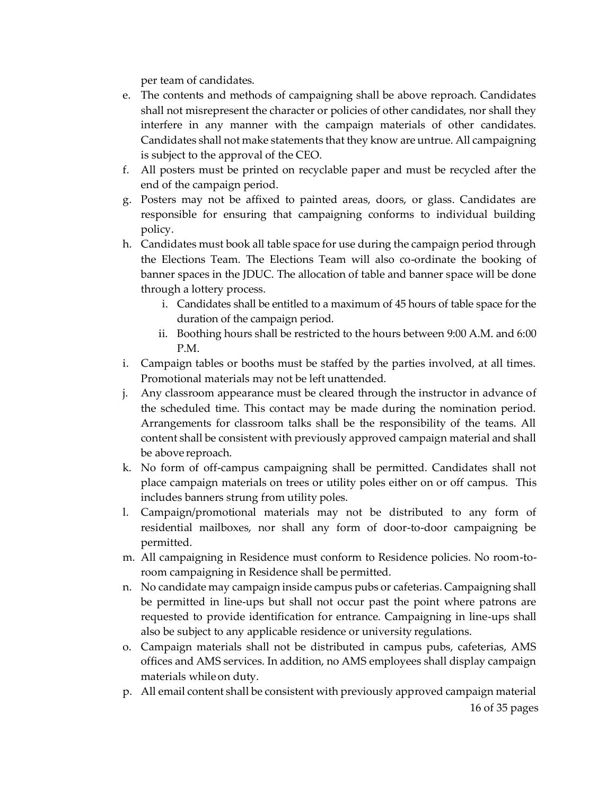per team of candidates.

- e. The contents and methods of campaigning shall be above reproach. Candidates shall not misrepresent the character or policies of other candidates, nor shall they interfere in any manner with the campaign materials of other candidates. Candidates shall not make statements that they know are untrue. All campaigning is subject to the approval of the CEO.
- f. All posters must be printed on recyclable paper and must be recycled after the end of the campaign period.
- g. Posters may not be affixed to painted areas, doors, or glass. Candidates are responsible for ensuring that campaigning conforms to individual building policy.
- h. Candidates must book all table space for use during the campaign period through the Elections Team. The Elections Team will also co-ordinate the booking of banner spaces in the JDUC. The allocation of table and banner space will be done through a lottery process.
	- i. Candidates shall be entitled to a maximum of 45 hours of table space for the duration of the campaign period.
	- ii. Boothing hours shall be restricted to the hours between 9:00 A.M. and 6:00 P.M.
- i. Campaign tables or booths must be staffed by the parties involved, at all times. Promotional materials may not be left unattended.
- j. Any classroom appearance must be cleared through the instructor in advance of the scheduled time. This contact may be made during the nomination period. Arrangements for classroom talks shall be the responsibility of the teams. All content shall be consistent with previously approved campaign material and shall be above reproach.
- k. No form of off-campus campaigning shall be permitted. Candidates shall not place campaign materials on trees or utility poles either on or off campus. This includes banners strung from utility poles.
- l. Campaign/promotional materials may not be distributed to any form of residential mailboxes, nor shall any form of door-to-door campaigning be permitted.
- m. All campaigning in Residence must conform to Residence policies. No room-toroom campaigning in Residence shall be permitted.
- n. No candidate may campaign inside campus pubs or cafeterias. Campaigning shall be permitted in line-ups but shall not occur past the point where patrons are requested to provide identification for entrance. Campaigning in line-ups shall also be subject to any applicable residence or university regulations.
- o. Campaign materials shall not be distributed in campus pubs, cafeterias, AMS offices and AMS services. In addition, no AMS employees shall display campaign materials whileon duty.
- 16 of 35 pages p. All email content shall be consistent with previously approved campaign material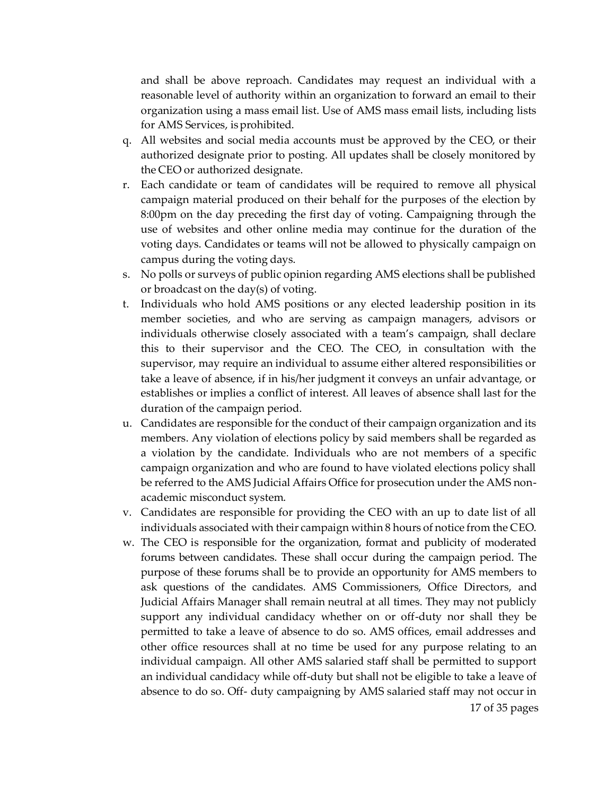and shall be above reproach. Candidates may request an individual with a reasonable level of authority within an organization to forward an email to their organization using a mass email list. Use of AMS mass email lists, including lists for AMS Services, isprohibited.

- q. All websites and social media accounts must be approved by the CEO, or their authorized designate prior to posting. All updates shall be closely monitored by the CEO or authorized designate.
- r. Each candidate or team of candidates will be required to remove all physical campaign material produced on their behalf for the purposes of the election by 8:00pm on the day preceding the first day of voting. Campaigning through the use of websites and other online media may continue for the duration of the voting days. Candidates or teams will not be allowed to physically campaign on campus during the voting days.
- s. No polls or surveys of public opinion regarding AMS elections shall be published or broadcast on the day(s) of voting.
- t. Individuals who hold AMS positions or any elected leadership position in its member societies, and who are serving as campaign managers, advisors or individuals otherwise closely associated with a team's campaign, shall declare this to their supervisor and the CEO. The CEO, in consultation with the supervisor, may require an individual to assume either altered responsibilities or take a leave of absence, if in his/her judgment it conveys an unfair advantage, or establishes or implies a conflict of interest. All leaves of absence shall last for the duration of the campaign period.
- u. Candidates are responsible for the conduct of their campaign organization and its members. Any violation of elections policy by said members shall be regarded as a violation by the candidate. Individuals who are not members of a specific campaign organization and who are found to have violated elections policy shall be referred to the AMS Judicial Affairs Office for prosecution under the AMS nonacademic misconduct system.
- v. Candidates are responsible for providing the CEO with an up to date list of all individuals associated with their campaign within 8 hours of notice from the CEO.
- 17 of 35 pages w. The CEO is responsible for the organization, format and publicity of moderated forums between candidates. These shall occur during the campaign period. The purpose of these forums shall be to provide an opportunity for AMS members to ask questions of the candidates. AMS Commissioners, Office Directors, and Judicial Affairs Manager shall remain neutral at all times. They may not publicly support any individual candidacy whether on or off-duty nor shall they be permitted to take a leave of absence to do so. AMS offices, email addresses and other office resources shall at no time be used for any purpose relating to an individual campaign. All other AMS salaried staff shall be permitted to support an individual candidacy while off-duty but shall not be eligible to take a leave of absence to do so. Off- duty campaigning by AMS salaried staff may not occur in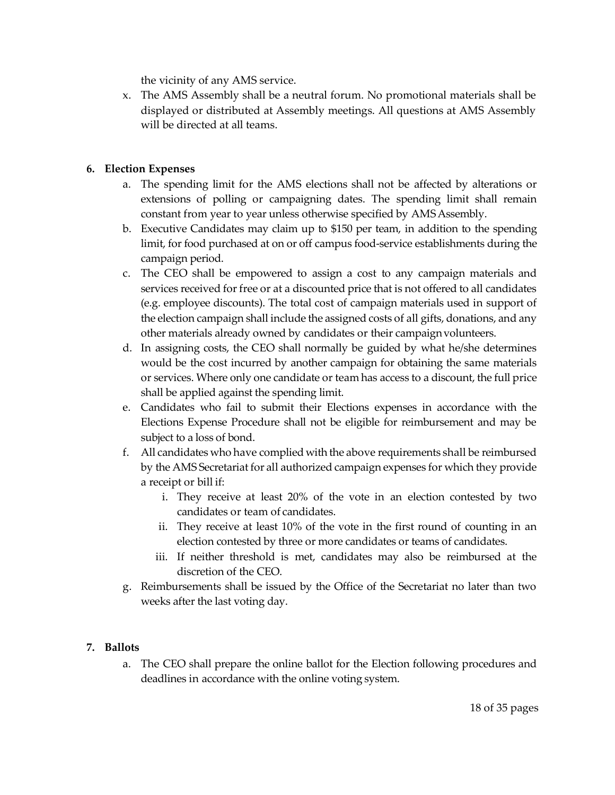the vicinity of any AMS service.

x. The AMS Assembly shall be a neutral forum. No promotional materials shall be displayed or distributed at Assembly meetings. All questions at AMS Assembly will be directed at all teams.

#### <span id="page-17-0"></span>**6. Election Expenses**

- a. The spending limit for the AMS elections shall not be affected by alterations or extensions of polling or campaigning dates. The spending limit shall remain constant from year to year unless otherwise specified by AMSAssembly.
- b. Executive Candidates may claim up to \$150 per team, in addition to the spending limit, for food purchased at on or off campus food-service establishments during the campaign period.
- c. The CEO shall be empowered to assign a cost to any campaign materials and services received for free or at a discounted price that is not offered to all candidates (e.g. employee discounts). The total cost of campaign materials used in support of the election campaign shall include the assigned costs of all gifts, donations, and any other materials already owned by candidates or their campaignvolunteers.
- d. In assigning costs, the CEO shall normally be guided by what he/she determines would be the cost incurred by another campaign for obtaining the same materials or services. Where only one candidate or team has access to a discount, the full price shall be applied against the spending limit.
- e. Candidates who fail to submit their Elections expenses in accordance with the Elections Expense Procedure shall not be eligible for reimbursement and may be subject to a loss of bond.
- f. All candidates who have complied with the above requirements shall be reimbursed by the AMS Secretariat for all authorized campaign expenses for which they provide a receipt or bill if:
	- i. They receive at least 20% of the vote in an election contested by two candidates or team of candidates.
	- ii. They receive at least 10% of the vote in the first round of counting in an election contested by three or more candidates or teams of candidates.
	- iii. If neither threshold is met, candidates may also be reimbursed at the discretion of the CEO.
- g. Reimbursements shall be issued by the Office of the Secretariat no later than two weeks after the last voting day.

#### <span id="page-17-1"></span>**7. Ballots**

a. The CEO shall prepare the online ballot for the Election following procedures and deadlines in accordance with the online voting system.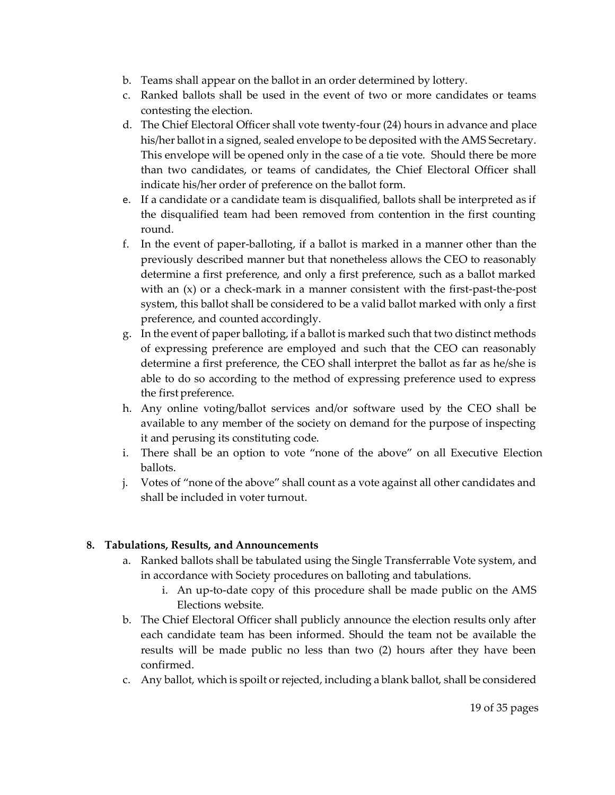- b. Teams shall appear on the ballot in an order determined by lottery.
- c. Ranked ballots shall be used in the event of two or more candidates or teams contesting the election.
- d. The Chief Electoral Officer shall vote twenty-four (24) hours in advance and place his/her ballot in a signed, sealed envelope to be deposited with the AMS Secretary. This envelope will be opened only in the case of a tie vote. Should there be more than two candidates, or teams of candidates, the Chief Electoral Officer shall indicate his/her order of preference on the ballot form.
- e. If a candidate or a candidate team is disqualified, ballots shall be interpreted as if the disqualified team had been removed from contention in the first counting round.
- f. In the event of paper-balloting, if a ballot is marked in a manner other than the previously described manner but that nonetheless allows the CEO to reasonably determine a first preference, and only a first preference, such as a ballot marked with an (x) or a check-mark in a manner consistent with the first-past-the-post system, this ballot shall be considered to be a valid ballot marked with only a first preference, and counted accordingly.
- g. In the event of paper balloting, if a ballot is marked such that two distinct methods of expressing preference are employed and such that the CEO can reasonably determine a first preference, the CEO shall interpret the ballot as far as he/she is able to do so according to the method of expressing preference used to express the first preference.
- h. Any online voting/ballot services and/or software used by the CEO shall be available to any member of the society on demand for the purpose of inspecting it and perusing its constituting code.
- i. There shall be an option to vote "none of the above" on all Executive Election ballots.
- j. Votes of "none of the above" shall count as a vote against all other candidates and shall be included in voter turnout.

#### <span id="page-18-0"></span>**8. Tabulations, Results, and Announcements**

- a. Ranked ballots shall be tabulated using the Single Transferrable Vote system, and in accordance with Society procedures on balloting and tabulations.
	- i. An up-to-date copy of this procedure shall be made public on the AMS Elections website.
- b. The Chief Electoral Officer shall publicly announce the election results only after each candidate team has been informed. Should the team not be available the results will be made public no less than two (2) hours after they have been confirmed.
- c. Any ballot, which is spoilt or rejected, including a blank ballot, shall be considered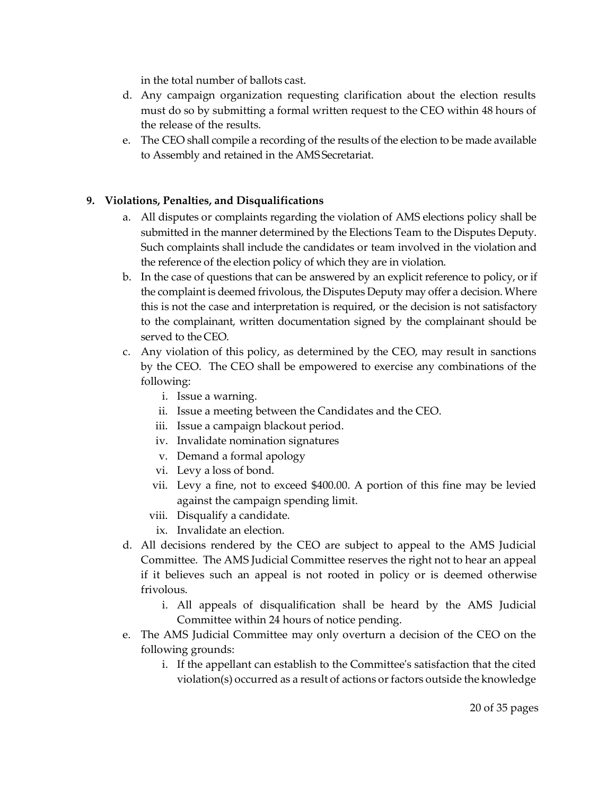in the total number of ballots cast.

- d. Any campaign organization requesting clarification about the election results must do so by submitting a formal written request to the CEO within 48 hours of the release of the results.
- e. The CEO shall compile a recording of the results of the election to be made available to Assembly and retained in the AMS Secretariat.

#### <span id="page-19-0"></span>**9. Violations, Penalties, and Disqualifications**

- a. All disputes or complaints regarding the violation of AMS elections policy shall be submitted in the manner determined by the Elections Team to the Disputes Deputy. Such complaints shall include the candidates or team involved in the violation and the reference of the election policy of which they are in violation.
- b. In the case of questions that can be answered by an explicit reference to policy, or if the complaint is deemed frivolous, the Disputes Deputy may offer a decision. Where this is not the case and interpretation is required, or the decision is not satisfactory to the complainant, written documentation signed by the complainant should be served to the CEO.
- c. Any violation of this policy, as determined by the CEO, may result in sanctions by the CEO. The CEO shall be empowered to exercise any combinations of the following:
	- i. Issue a warning.
	- ii. Issue a meeting between the Candidates and the CEO.
	- iii. Issue a campaign blackout period.
	- iv. Invalidate nomination signatures
	- v. Demand a formal apology
	- vi. Levy a loss of bond.
	- vii. Levy a fine, not to exceed \$400.00. A portion of this fine may be levied against the campaign spending limit.
	- viii. Disqualify a candidate.
		- ix. Invalidate an election.
- d. All decisions rendered by the CEO are subject to appeal to the AMS Judicial Committee. The AMS Judicial Committee reserves the right not to hear an appeal if it believes such an appeal is not rooted in policy or is deemed otherwise frivolous.
	- i. All appeals of disqualification shall be heard by the AMS Judicial Committee within 24 hours of notice pending.
- e. The AMS Judicial Committee may only overturn a decision of the CEO on the following grounds:
	- i. If the appellant can establish to the Committee's satisfaction that the cited violation(s) occurred as a result of actions or factors outside the knowledge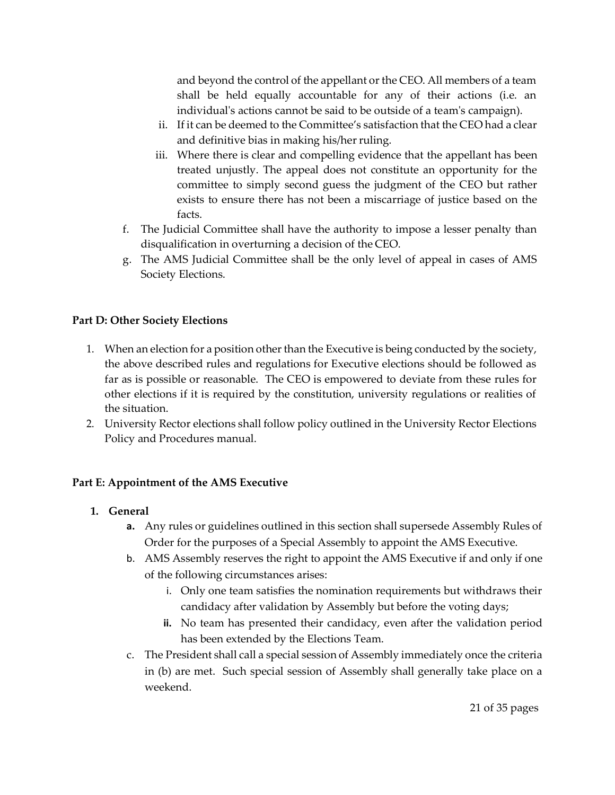and beyond the control of the appellant or the CEO. All members of a team shall be held equally accountable for any of their actions (i.e. an individual's actions cannot be said to be outside of a team's campaign).

- ii. If it can be deemed to the Committee's satisfaction that the CEO had a clear and definitive bias in making his/her ruling.
- iii. Where there is clear and compelling evidence that the appellant has been treated unjustly. The appeal does not constitute an opportunity for the committee to simply second guess the judgment of the CEO but rather exists to ensure there has not been a miscarriage of justice based on the facts.
- f. The Judicial Committee shall have the authority to impose a lesser penalty than disqualification in overturning a decision of the CEO.
- g. The AMS Judicial Committee shall be the only level of appeal in cases of AMS Society Elections.

#### <span id="page-20-0"></span>**Part D: Other Society Elections**

- 1. When an election for a position other than the Executive is being conducted by the society, the above described rules and regulations for Executive elections should be followed as far as is possible or reasonable. The CEO is empowered to deviate from these rules for other elections if it is required by the constitution, university regulations or realities of the situation.
- 2. University Rector elections shall follow policy outlined in the University Rector Elections Policy and Procedures manual.

#### <span id="page-20-1"></span>**Part E: Appointment of the AMS Executive**

- <span id="page-20-2"></span>**1. General**
	- **a.** Any rules or guidelines outlined in this section shall supersede Assembly Rules of Order for the purposes of a Special Assembly to appoint the AMS Executive.
	- b. AMS Assembly reserves the right to appoint the AMS Executive if and only if one of the following circumstances arises:
		- i. Only one team satisfies the nomination requirements but withdraws their candidacy after validation by Assembly but before the voting days;
		- **ii.** No team has presented their candidacy, even after the validation period has been extended by the Elections Team.
	- c. The President shall call a special session of Assembly immediately once the criteria in (b) are met. Such special session of Assembly shall generally take place on a weekend.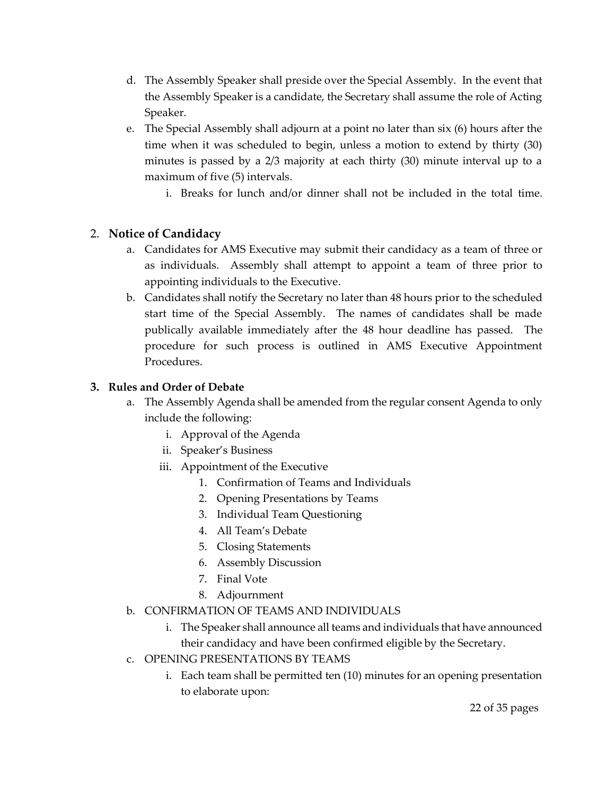- d. The Assembly Speaker shall preside over the Special Assembly. In the event that the Assembly Speaker is a candidate, the Secretary shall assume the role of Acting Speaker.
- e. The Special Assembly shall adjourn at a point no later than six (6) hours after the time when it was scheduled to begin, unless a motion to extend by thirty (30) minutes is passed by a 2/3 majority at each thirty (30) minute interval up to a maximum of five (5) intervals.
	- i. Breaks for lunch and/or dinner shall not be included in the total time.

#### <span id="page-21-0"></span>2. **Notice of Candidacy**

- a. Candidates for AMS Executive may submit their candidacy as a team of three or as individuals. Assembly shall attempt to appoint a team of three prior to appointing individuals to the Executive.
- b. Candidates shall notify the Secretary no later than 48 hours prior to the scheduled start time of the Special Assembly. The names of candidates shall be made publically available immediately after the 48 hour deadline has passed. The procedure for such process is outlined in AMS Executive Appointment Procedures.

#### <span id="page-21-1"></span>**3. Rules and Order of Debate**

- a. The Assembly Agenda shall be amended from the regular consent Agenda to only include the following:
	- i. Approval of the Agenda
	- ii. Speaker's Business
	- iii. Appointment of the Executive
		- 1. Confirmation of Teams and Individuals
		- 2. Opening Presentations by Teams
		- 3. Individual Team Questioning
		- 4. All Team's Debate
		- 5. Closing Statements
		- 6. Assembly Discussion
		- 7. Final Vote
		- 8. Adjournment
- b. CONFIRMATION OF TEAMS AND INDIVIDUALS
	- i. The Speaker shall announce all teams and individuals that have announced their candidacy and have been confirmed eligible by the Secretary.
- c. OPENING PRESENTATIONS BY TEAMS
	- i. Each team shall be permitted ten (10) minutes for an opening presentation to elaborate upon: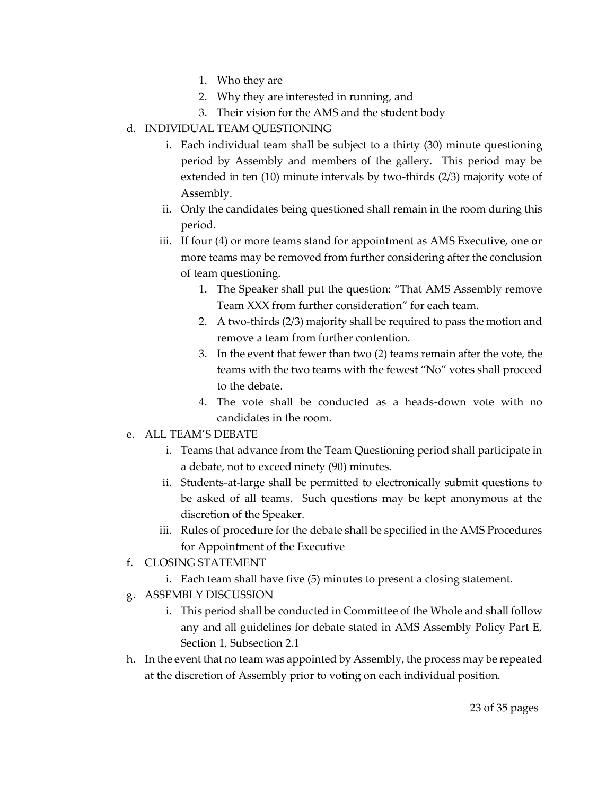- 1. Who they are
- 2. Why they are interested in running, and
- 3. Their vision for the AMS and the student body
- d. INDIVIDUAL TEAM QUESTIONING
	- i. Each individual team shall be subject to a thirty (30) minute questioning period by Assembly and members of the gallery. This period may be extended in ten (10) minute intervals by two-thirds (2/3) majority vote of Assembly.
	- ii. Only the candidates being questioned shall remain in the room during this period.
	- iii. If four (4) or more teams stand for appointment as AMS Executive, one or more teams may be removed from further considering after the conclusion of team questioning.
		- 1. The Speaker shall put the question: "That AMS Assembly remove Team XXX from further consideration" for each team.
		- 2. A two-thirds (2/3) majority shall be required to pass the motion and remove a team from further contention.
		- 3. In the event that fewer than two (2) teams remain after the vote, the teams with the two teams with the fewest "No" votes shall proceed to the debate.
		- 4. The vote shall be conducted as a heads-down vote with no candidates in the room.
- e. ALL TEAM'S DEBATE
	- i. Teams that advance from the Team Questioning period shall participate in a debate, not to exceed ninety (90) minutes.
	- ii. Students-at-large shall be permitted to electronically submit questions to be asked of all teams. Such questions may be kept anonymous at the discretion of the Speaker.
	- iii. Rules of procedure for the debate shall be specified in the AMS Procedures for Appointment of the Executive
- f. CLOSING STATEMENT
	- i. Each team shall have five (5) minutes to present a closing statement.
- g. ASSEMBLY DISCUSSION
	- i. This period shall be conducted in Committee of the Whole and shall follow any and all guidelines for debate stated in AMS Assembly Policy Part E, Section 1, Subsection 2.1
- h. In the event that no team was appointed by Assembly, the process may be repeated at the discretion of Assembly prior to voting on each individual position.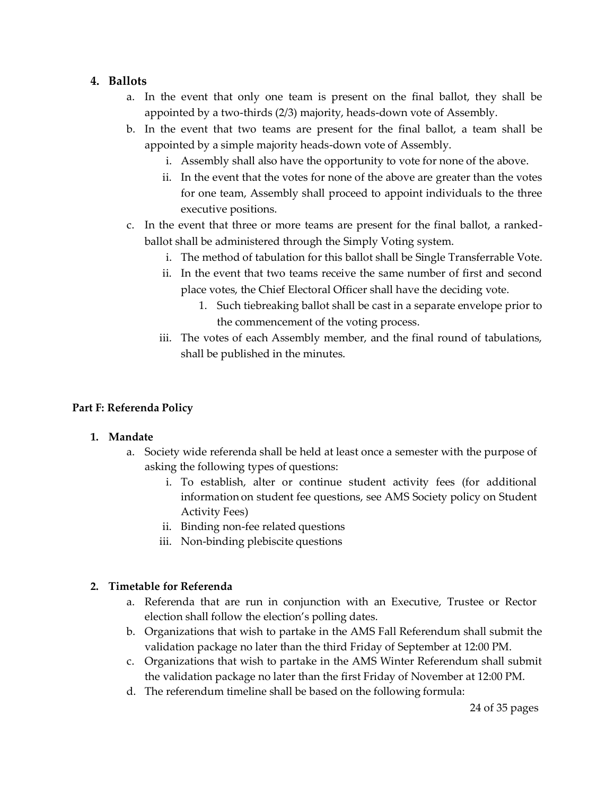#### <span id="page-23-0"></span>**4. Ballots**

- a. In the event that only one team is present on the final ballot, they shall be appointed by a two-thirds (2/3) majority, heads-down vote of Assembly.
- b. In the event that two teams are present for the final ballot, a team shall be appointed by a simple majority heads-down vote of Assembly.
	- i. Assembly shall also have the opportunity to vote for none of the above.
	- ii. In the event that the votes for none of the above are greater than the votes for one team, Assembly shall proceed to appoint individuals to the three executive positions.
- c. In the event that three or more teams are present for the final ballot, a rankedballot shall be administered through the Simply Voting system.
	- i. The method of tabulation for this ballot shall be Single Transferrable Vote.
	- ii. In the event that two teams receive the same number of first and second place votes, the Chief Electoral Officer shall have the deciding vote.
		- 1. Such tiebreaking ballot shall be cast in a separate envelope prior to the commencement of the voting process.
	- iii. The votes of each Assembly member, and the final round of tabulations, shall be published in the minutes.

#### <span id="page-23-1"></span>**Part F: Referenda Policy**

#### <span id="page-23-2"></span>**1. Mandate**

- a. Society wide referenda shall be held at least once a semester with the purpose of asking the following types of questions:
	- i. To establish, alter or continue student activity fees (for additional information on student fee questions, see AMS Society policy on Student Activity Fees)
	- ii. Binding non-fee related questions
	- iii. Non-binding plebiscite questions

#### <span id="page-23-3"></span>**2. Timetable for Referenda**

- a. Referenda that are run in conjunction with an Executive, Trustee or Rector election shall follow the election's polling dates.
- b. Organizations that wish to partake in the AMS Fall Referendum shall submit the validation package no later than the third Friday of September at 12:00 PM.
- c. Organizations that wish to partake in the AMS Winter Referendum shall submit the validation package no later than the first Friday of November at 12:00 PM.
- d. The referendum timeline shall be based on the following formula: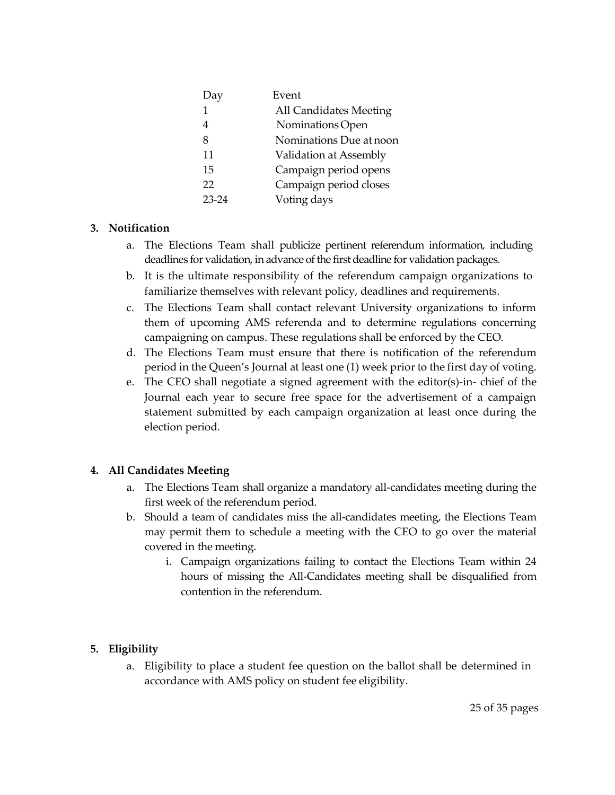| Day       | Event                   |
|-----------|-------------------------|
| 1         | All Candidates Meeting  |
| 4         | Nominations Open        |
| 8         | Nominations Due at noon |
| 11        | Validation at Assembly  |
| 15        | Campaign period opens   |
| 22        | Campaign period closes  |
| $23 - 24$ | Voting days             |
|           |                         |

#### <span id="page-24-0"></span>**3. Notification**

- a. The Elections Team shall publicize pertinent referendum information, including deadlines for validation, in advance of the first deadline for validation packages.
- b. It is the ultimate responsibility of the referendum campaign organizations to familiarize themselves with relevant policy, deadlines and requirements.
- c. The Elections Team shall contact relevant University organizations to inform them of upcoming AMS referenda and to determine regulations concerning campaigning on campus. These regulations shall be enforced by the CEO.
- d. The Elections Team must ensure that there is notification of the referendum period in the Queen's Journal at least one (1) week prior to the first day of voting.
- e. The CEO shall negotiate a signed agreement with the editor(s)-in- chief of the Journal each year to secure free space for the advertisement of a campaign statement submitted by each campaign organization at least once during the election period.

#### <span id="page-24-1"></span>**4. All Candidates Meeting**

- a. The Elections Team shall organize a mandatory all-candidates meeting during the first week of the referendum period.
- b. Should a team of candidates miss the all-candidates meeting, the Elections Team may permit them to schedule a meeting with the CEO to go over the material covered in the meeting.
	- i. Campaign organizations failing to contact the Elections Team within 24 hours of missing the All-Candidates meeting shall be disqualified from contention in the referendum.

#### <span id="page-24-2"></span>**5. Eligibility**

a. Eligibility to place a student fee question on the ballot shall be determined in accordance with AMS policy on student fee eligibility.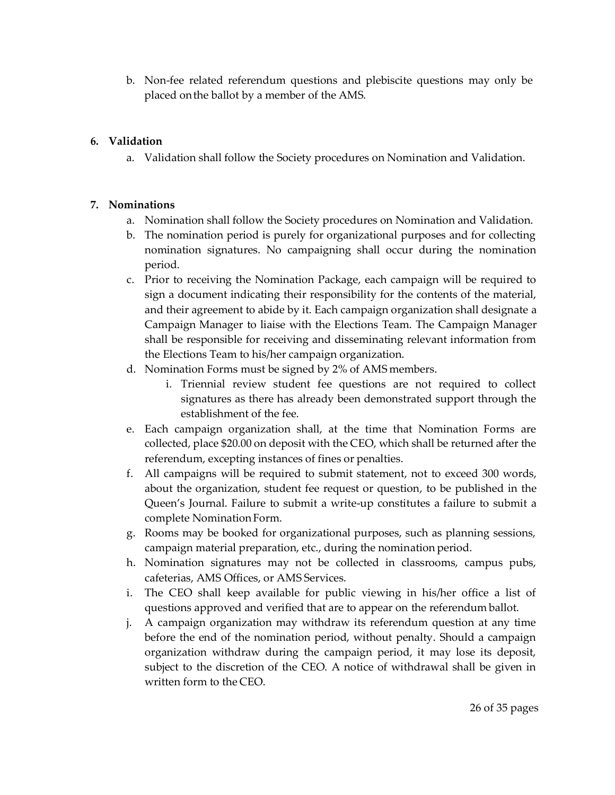b. Non-fee related referendum questions and plebiscite questions may only be placed onthe ballot by a member of the AMS.

#### <span id="page-25-0"></span>**6. Validation**

a. Validation shall follow the Society procedures on Nomination and Validation.

#### <span id="page-25-1"></span>**7. Nominations**

- a. Nomination shall follow the Society procedures on Nomination and Validation.
- b. The nomination period is purely for organizational purposes and for collecting nomination signatures. No campaigning shall occur during the nomination period.
- c. Prior to receiving the Nomination Package, each campaign will be required to sign a document indicating their responsibility for the contents of the material, and their agreement to abide by it. Each campaign organization shall designate a Campaign Manager to liaise with the Elections Team. The Campaign Manager shall be responsible for receiving and disseminating relevant information from the Elections Team to his/her campaign organization.
- d. Nomination Forms must be signed by 2% of AMS members.
	- i. Triennial review student fee questions are not required to collect signatures as there has already been demonstrated support through the establishment of the fee.
- e. Each campaign organization shall, at the time that Nomination Forms are collected, place \$20.00 on deposit with the CEO, which shall be returned after the referendum, excepting instances of fines or penalties.
- f. All campaigns will be required to submit statement, not to exceed 300 words, about the organization, student fee request or question, to be published in the Queen's Journal. Failure to submit a write-up constitutes a failure to submit a complete Nomination Form.
- g. Rooms may be booked for organizational purposes, such as planning sessions, campaign material preparation, etc., during the nomination period.
- h. Nomination signatures may not be collected in classrooms, campus pubs, cafeterias, AMS Offices, or AMS Services.
- i. The CEO shall keep available for public viewing in his/her office a list of questions approved and verified that are to appear on the referendum ballot.
- j. A campaign organization may withdraw its referendum question at any time before the end of the nomination period, without penalty. Should a campaign organization withdraw during the campaign period, it may lose its deposit, subject to the discretion of the CEO. A notice of withdrawal shall be given in written form to the CEO.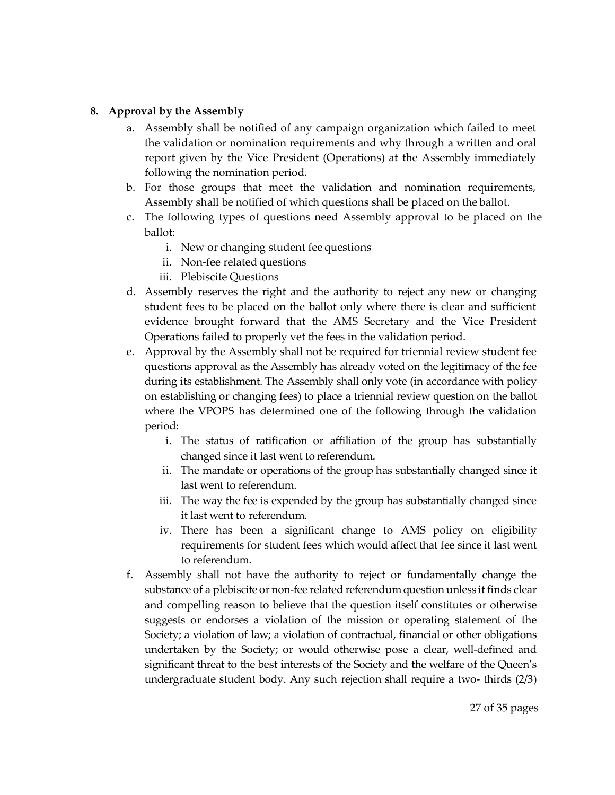#### <span id="page-26-0"></span>**8. Approval by the Assembly**

- a. Assembly shall be notified of any campaign organization which failed to meet the validation or nomination requirements and why through a written and oral report given by the Vice President (Operations) at the Assembly immediately following the nomination period.
- b. For those groups that meet the validation and nomination requirements, Assembly shall be notified of which questions shall be placed on the ballot.
- c. The following types of questions need Assembly approval to be placed on the ballot:
	- i. New or changing student fee questions
	- ii. Non-fee related questions
	- iii. Plebiscite Questions
- d. Assembly reserves the right and the authority to reject any new or changing student fees to be placed on the ballot only where there is clear and sufficient evidence brought forward that the AMS Secretary and the Vice President Operations failed to properly vet the fees in the validation period.
- e. Approval by the Assembly shall not be required for triennial review student fee questions approval as the Assembly has already voted on the legitimacy of the fee during its establishment. The Assembly shall only vote (in accordance with policy on establishing or changing fees) to place a triennial review question on the ballot where the VPOPS has determined one of the following through the validation period:
	- i. The status of ratification or affiliation of the group has substantially changed since it last went to referendum.
	- ii. The mandate or operations of the group has substantially changed since it last went to referendum.
	- iii. The way the fee is expended by the group has substantially changed since it last went to referendum.
	- iv. There has been a significant change to AMS policy on eligibility requirements for student fees which would affect that fee since it last went to referendum.
- f. Assembly shall not have the authority to reject or fundamentally change the substance of a plebiscite or non-fee related referendumquestion unless it finds clear and compelling reason to believe that the question itself constitutes or otherwise suggests or endorses a violation of the mission or operating statement of the Society; a violation of law; a violation of contractual, financial or other obligations undertaken by the Society; or would otherwise pose a clear, well-defined and significant threat to the best interests of the Society and the welfare of the Queen's undergraduate student body. Any such rejection shall require a two- thirds (2/3)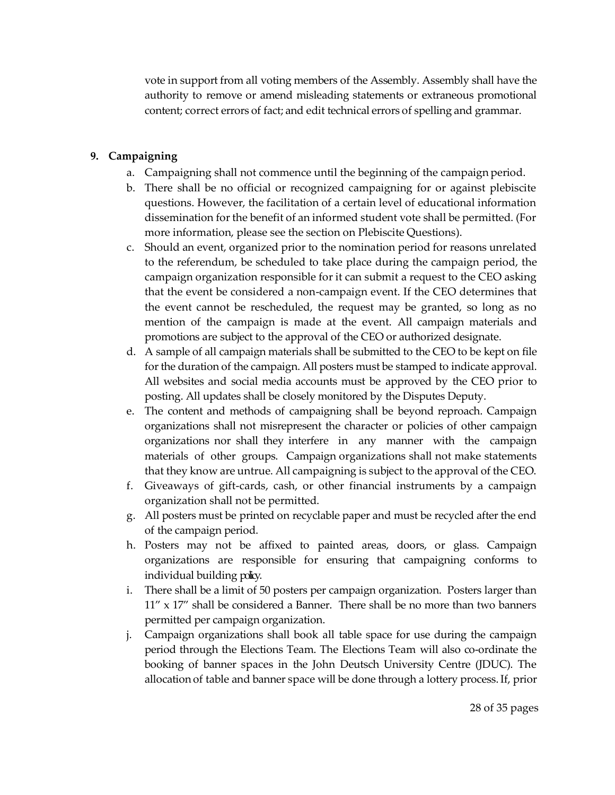vote in support from all voting members of the Assembly. Assembly shall have the authority to remove or amend misleading statements or extraneous promotional content; correct errors of fact; and edit technical errors of spelling and grammar.

#### <span id="page-27-0"></span>**9. Campaigning**

- a. Campaigning shall not commence until the beginning of the campaign period.
- b. There shall be no official or recognized campaigning for or against plebiscite questions. However, the facilitation of a certain level of educational information dissemination for the benefit of an informed student vote shall be permitted. (For more information, please see the section on Plebiscite Questions).
- c. Should an event, organized prior to the nomination period for reasons unrelated to the referendum, be scheduled to take place during the campaign period, the campaign organization responsible for it can submit a request to the CEO asking that the event be considered a non-campaign event. If the CEO determines that the event cannot be rescheduled, the request may be granted, so long as no mention of the campaign is made at the event. All campaign materials and promotions are subject to the approval of the CEO or authorized designate.
- d. A sample of all campaign materials shall be submitted to the CEO to be kept on file for the duration of the campaign. All posters must be stamped to indicate approval. All websites and social media accounts must be approved by the CEO prior to posting. All updates shall be closely monitored by the Disputes Deputy.
- e. The content and methods of campaigning shall be beyond reproach. Campaign organizations shall not misrepresent the character or policies of other campaign organizations nor shall they interfere in any manner with the campaign materials of other groups. Campaign organizations shall not make statements that they know are untrue. All campaigning is subject to the approval of the CEO.
- f. Giveaways of gift-cards, cash, or other financial instruments by a campaign organization shall not be permitted.
- g. All posters must be printed on recyclable paper and must be recycled after the end of the campaign period.
- h. Posters may not be affixed to painted areas, doors, or glass. Campaign organizations are responsible for ensuring that campaigning conforms to individual building policy.
- i. There shall be a limit of 50 posters per campaign organization. Posters larger than 11" x 17" shall be considered a Banner. There shall be no more than two banners permitted per campaign organization.
- j. Campaign organizations shall book all table space for use during the campaign period through the Elections Team. The Elections Team will also co-ordinate the booking of banner spaces in the John Deutsch University Centre (JDUC). The allocation of table and banner space will be done through a lottery process. If, prior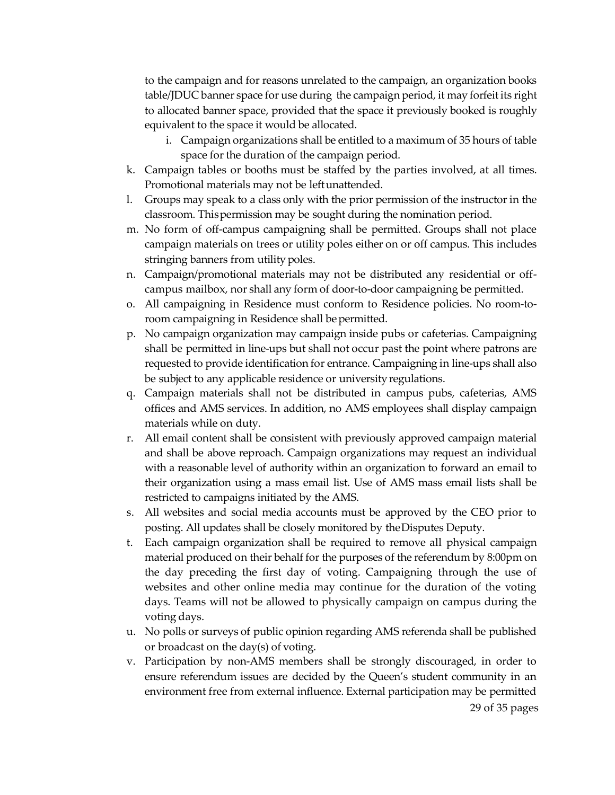to the campaign and for reasons unrelated to the campaign, an organization books table/JDUC banner space for use during the campaign period, it may forfeitits right to allocated banner space, provided that the space it previously booked is roughly equivalent to the space it would be allocated.

- i. Campaign organizations shall be entitled to a maximum of 35 hours of table space for the duration of the campaign period.
- k. Campaign tables or booths must be staffed by the parties involved, at all times. Promotional materials may not be leftunattended.
- l. Groups may speak to a class only with the prior permission of the instructor in the classroom. Thispermission may be sought during the nomination period.
- m. No form of off-campus campaigning shall be permitted. Groups shall not place campaign materials on trees or utility poles either on or off campus. This includes stringing banners from utility poles.
- n. Campaign/promotional materials may not be distributed any residential or offcampus mailbox, nor shall any form of door-to-door campaigning be permitted.
- o. All campaigning in Residence must conform to Residence policies. No room-toroom campaigning in Residence shall be permitted.
- p. No campaign organization may campaign inside pubs or cafeterias. Campaigning shall be permitted in line-ups but shall not occur past the point where patrons are requested to provide identification for entrance. Campaigning in line-ups shall also be subject to any applicable residence or university regulations.
- q. Campaign materials shall not be distributed in campus pubs, cafeterias, AMS offices and AMS services. In addition, no AMS employees shall display campaign materials while on duty.
- r. All email content shall be consistent with previously approved campaign material and shall be above reproach. Campaign organizations may request an individual with a reasonable level of authority within an organization to forward an email to their organization using a mass email list. Use of AMS mass email lists shall be restricted to campaigns initiated by the AMS.
- s. All websites and social media accounts must be approved by the CEO prior to posting. All updates shall be closely monitored by theDisputes Deputy.
- t. Each campaign organization shall be required to remove all physical campaign material produced on their behalf for the purposes of the referendum by 8:00pm on the day preceding the first day of voting. Campaigning through the use of websites and other online media may continue for the duration of the voting days. Teams will not be allowed to physically campaign on campus during the voting days.
- u. No polls or surveys of public opinion regarding AMS referenda shall be published or broadcast on the day(s) of voting.
- 29 of 35 pages v. Participation by non-AMS members shall be strongly discouraged, in order to ensure referendum issues are decided by the Queen's student community in an environment free from external influence. External participation may be permitted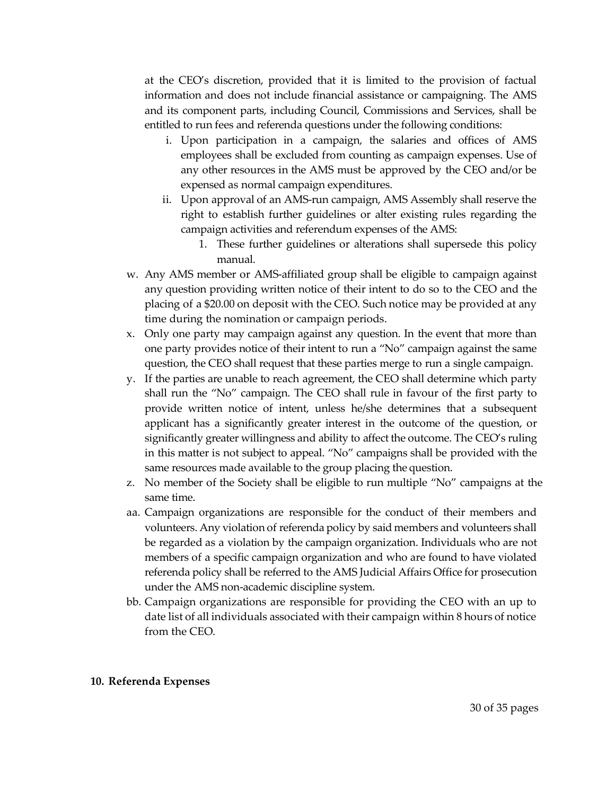at the CEO's discretion, provided that it is limited to the provision of factual information and does not include financial assistance or campaigning. The AMS and its component parts, including Council, Commissions and Services, shall be entitled to run fees and referenda questions under the following conditions:

- i. Upon participation in a campaign, the salaries and offices of AMS employees shall be excluded from counting as campaign expenses. Use of any other resources in the AMS must be approved by the CEO and/or be expensed as normal campaign expenditures.
- ii. Upon approval of an AMS-run campaign, AMS Assembly shall reserve the right to establish further guidelines or alter existing rules regarding the campaign activities and referendum expenses of the AMS:
	- 1. These further guidelines or alterations shall supersede this policy manual.
- w. Any AMS member or AMS-affiliated group shall be eligible to campaign against any question providing written notice of their intent to do so to the CEO and the placing of a \$20.00 on deposit with the CEO. Such notice may be provided at any time during the nomination or campaign periods.
- x. Only one party may campaign against any question. In the event that more than one party provides notice of their intent to run a "No" campaign against the same question, the CEO shall request that these parties merge to run a single campaign.
- y. If the parties are unable to reach agreement, the CEO shall determine which party shall run the "No" campaign. The CEO shall rule in favour of the first party to provide written notice of intent, unless he/she determines that a subsequent applicant has a significantly greater interest in the outcome of the question, or significantly greater willingness and ability to affect the outcome. The CEO's ruling in this matter is not subject to appeal. "No" campaigns shall be provided with the same resources made available to the group placing the question.
- z. No member of the Society shall be eligible to run multiple "No" campaigns at the same time.
- aa. Campaign organizations are responsible for the conduct of their members and volunteers. Any violation of referenda policy by said members and volunteers shall be regarded as a violation by the campaign organization. Individuals who are not members of a specific campaign organization and who are found to have violated referenda policy shall be referred to the AMS Judicial Affairs Office for prosecution under the AMS non-academic discipline system.
- bb. Campaign organizations are responsible for providing the CEO with an up to date list of all individuals associated with their campaign within 8 hours of notice from the CEO.

#### <span id="page-29-0"></span>**10. Referenda Expenses**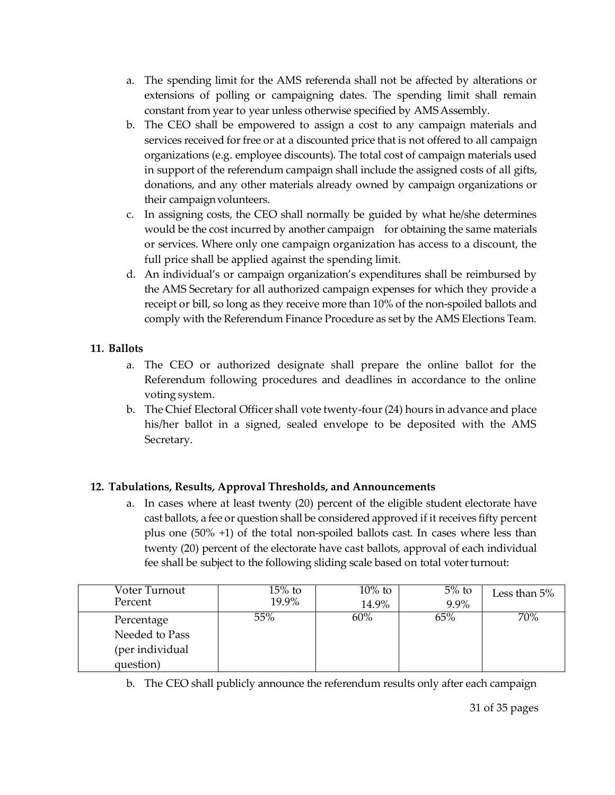- a. The spending limit for the AMS referenda shall not be affected by alterations or extensions of polling or campaigning dates. The spending limit shall remain constant from year to year unless otherwise specified by AMSAssembly.
- b. The CEO shall be empowered to assign a cost to any campaign materials and services received for free or at a discounted price that is not offered to all campaign organizations (e.g. employee discounts). The total cost of campaign materials used in support of the referendum campaign shall include the assigned costs of all gifts, donations, and any other materials already owned by campaign organizations or their campaign volunteers.
- c. In assigning costs, the CEO shall normally be guided by what he/she determines would be the cost incurred by another campaign for obtaining the same materials or services. Where only one campaign organization has access to a discount, the full price shall be applied against the spending limit.
- d. An individual's or campaign organization's expenditures shall be reimbursed by the AMS Secretary for all authorized campaign expenses for which they provide a receipt or bill, so long as they receive more than 10% of the non-spoiled ballots and comply with the Referendum Finance Procedure as set by the AMS Elections Team.

#### <span id="page-30-0"></span>**11. Ballots**

- a. The CEO or authorized designate shall prepare the online ballot for the Referendum following procedures and deadlines in accordance to the online voting system.
- b. The Chief Electoral Officer shall vote twenty-four (24) hours in advance and place his/her ballot in a signed, sealed envelope to be deposited with the AMS Secretary.

#### <span id="page-30-1"></span>**12. Tabulations, Results, Approval Thresholds, and Announcements**

a. In cases where at least twenty (20) percent of the eligible student electorate have cast ballots, a fee or question shall be considered approved if it receives fifty percent plus one (50% +1) of the total non-spoiled ballots cast. In cases where less than twenty (20) percent of the electorate have cast ballots, approval of each individual fee shall be subject to the following sliding scale based on total voter turnout:

| Voter Turnout   | $15%$ to | $10\%$ to | $5%$ to | Less than $5%$ |
|-----------------|----------|-----------|---------|----------------|
| Percent         | 19.9%    | 14.9%     | 9.9%    |                |
| Percentage      | 55%      | 60%       | 65%     | 70%            |
| Needed to Pass  |          |           |         |                |
| (per individual |          |           |         |                |
| question)       |          |           |         |                |

b. The CEO shall publicly announce the referendum results only after each campaign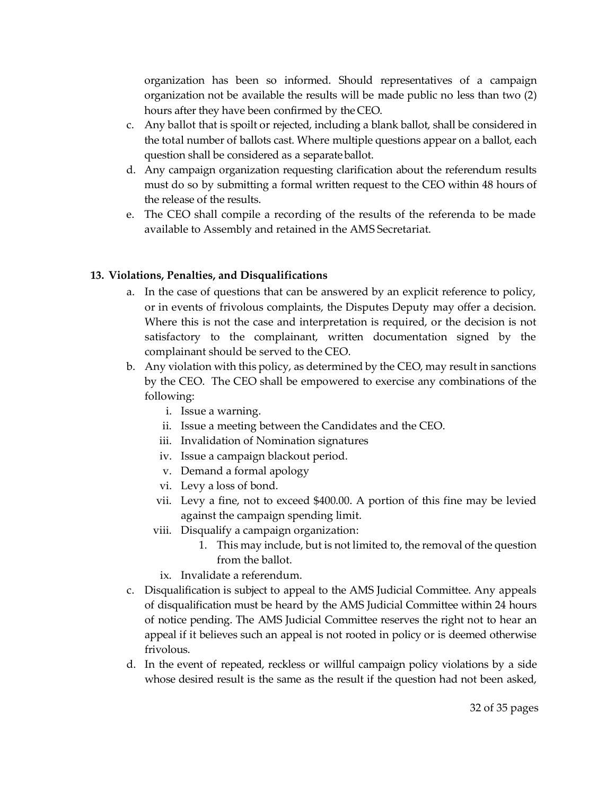organization has been so informed. Should representatives of a campaign organization not be available the results will be made public no less than two (2) hours after they have been confirmed by the CEO.

- c. Any ballot that is spoilt or rejected, including a blank ballot, shall be considered in the total number of ballots cast. Where multiple questions appear on a ballot, each question shall be considered as a separateballot.
- d. Any campaign organization requesting clarification about the referendum results must do so by submitting a formal written request to the CEO within 48 hours of the release of the results.
- e. The CEO shall compile a recording of the results of the referenda to be made available to Assembly and retained in the AMS Secretariat.

#### <span id="page-31-0"></span>**13. Violations, Penalties, and Disqualifications**

- a. In the case of questions that can be answered by an explicit reference to policy, or in events of frivolous complaints, the Disputes Deputy may offer a decision. Where this is not the case and interpretation is required, or the decision is not satisfactory to the complainant, written documentation signed by the complainant should be served to the CEO.
- b. Any violation with this policy, as determined by the CEO, may result in sanctions by the CEO. The CEO shall be empowered to exercise any combinations of the following:
	- i. Issue a warning.
	- ii. Issue a meeting between the Candidates and the CEO.
	- iii. Invalidation of Nomination signatures
	- iv. Issue a campaign blackout period.
	- v. Demand a formal apology
	- vi. Levy a loss of bond.
	- vii. Levy a fine, not to exceed \$400.00. A portion of this fine may be levied against the campaign spending limit.
	- viii. Disqualify a campaign organization:
		- 1. This may include, but is not limited to, the removal of the question from the ballot.
		- ix. Invalidate a referendum.
- c. Disqualification is subject to appeal to the AMS Judicial Committee. Any appeals of disqualification must be heard by the AMS Judicial Committee within 24 hours of notice pending. The AMS Judicial Committee reserves the right not to hear an appeal if it believes such an appeal is not rooted in policy or is deemed otherwise frivolous.
- d. In the event of repeated, reckless or willful campaign policy violations by a side whose desired result is the same as the result if the question had not been asked,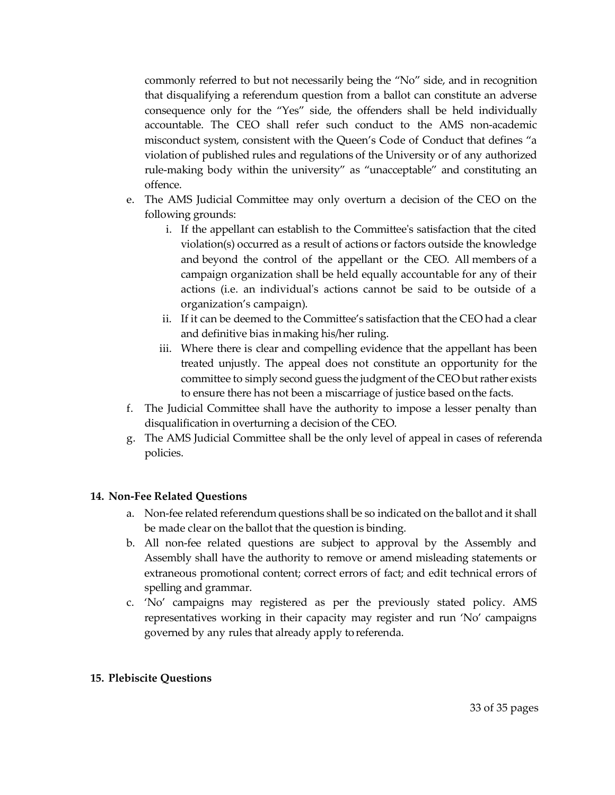commonly referred to but not necessarily being the "No" side, and in recognition that disqualifying a referendum question from a ballot can constitute an adverse consequence only for the "Yes" side, the offenders shall be held individually accountable. The CEO shall refer such conduct to the AMS non-academic misconduct system, consistent with the Queen's Code of Conduct that defines "a violation of published rules and regulations of the University or of any authorized rule-making body within the university" as "unacceptable" and constituting an offence.

- e. The AMS Judicial Committee may only overturn a decision of the CEO on the following grounds:
	- i. If the appellant can establish to the Committee's satisfaction that the cited violation(s) occurred as a result of actions or factors outside the knowledge and beyond the control of the appellant or the CEO. All members of a campaign organization shall be held equally accountable for any of their actions (i.e. an individual's actions cannot be said to be outside of a organization's campaign).
	- ii. If it can be deemed to the Committee's satisfaction that the CEO had a clear and definitive bias inmaking his/her ruling.
	- iii. Where there is clear and compelling evidence that the appellant has been treated unjustly. The appeal does not constitute an opportunity for the committee to simply second guess the judgment of the CEO but rather exists to ensure there has not been a miscarriage of justice based onthe facts.
- f. The Judicial Committee shall have the authority to impose a lesser penalty than disqualification in overturning a decision of the CEO.
- g. The AMS Judicial Committee shall be the only level of appeal in cases of referenda policies.

#### <span id="page-32-0"></span>**14. Non-Fee Related Questions**

- a. Non-fee related referendum questions shall be so indicated on the ballot and it shall be made clear on the ballot that the question is binding.
- b. All non-fee related questions are subject to approval by the Assembly and Assembly shall have the authority to remove or amend misleading statements or extraneous promotional content; correct errors of fact; and edit technical errors of spelling and grammar.
- c. 'No' campaigns may registered as per the previously stated policy. AMS representatives working in their capacity may register and run 'No' campaigns governed by any rules that already apply toreferenda.

#### <span id="page-32-1"></span>**15. Plebiscite Questions**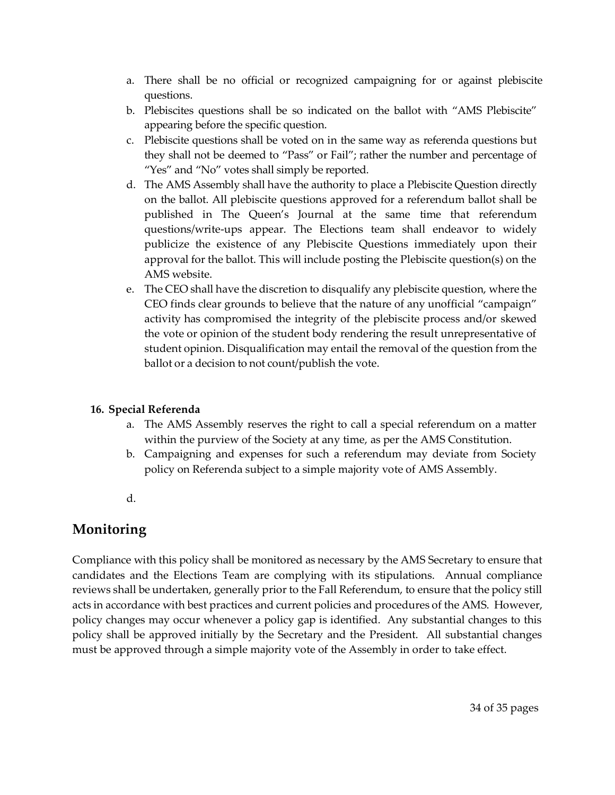- a. There shall be no official or recognized campaigning for or against plebiscite questions.
- b. Plebiscites questions shall be so indicated on the ballot with "AMS Plebiscite" appearing before the specific question.
- c. Plebiscite questions shall be voted on in the same way as referenda questions but they shall not be deemed to "Pass" or Fail"; rather the number and percentage of "Yes" and "No" votes shall simply be reported.
- d. The AMS Assembly shall have the authority to place a Plebiscite Question directly on the ballot. All plebiscite questions approved for a referendum ballot shall be published in The Queen's Journal at the same time that referendum questions/write-ups appear. The Elections team shall endeavor to widely publicize the existence of any Plebiscite Questions immediately upon their approval for the ballot. This will include posting the Plebiscite question(s) on the AMS website.
- e. The CEO shall have the discretion to disqualify any plebiscite question, where the CEO finds clear grounds to believe that the nature of any unofficial "campaign" activity has compromised the integrity of the plebiscite process and/or skewed the vote or opinion of the student body rendering the result unrepresentative of student opinion. Disqualification may entail the removal of the question from the ballot or a decision to not count/publish the vote.

#### <span id="page-33-0"></span>**16. Special Referenda**

- a. The AMS Assembly reserves the right to call a special referendum on a matter within the purview of the Society at any time, as per the AMS Constitution.
- b. Campaigning and expenses for such a referendum may deviate from Society policy on Referenda subject to a simple majority vote of AMS Assembly.
- d.

## <span id="page-33-2"></span><span id="page-33-1"></span>**Monitoring**

Compliance with this policy shall be monitored as necessary by the AMS Secretary to ensure that candidates and the Elections Team are complying with its stipulations. Annual compliance reviews shall be undertaken, generally prior to the Fall Referendum, to ensure that the policy still acts in accordance with best practices and current policies and procedures of the AMS. However, policy changes may occur whenever a policy gap is identified. Any substantial changes to this policy shall be approved initially by the Secretary and the President. All substantial changes must be approved through a simple majority vote of the Assembly in order to take effect.